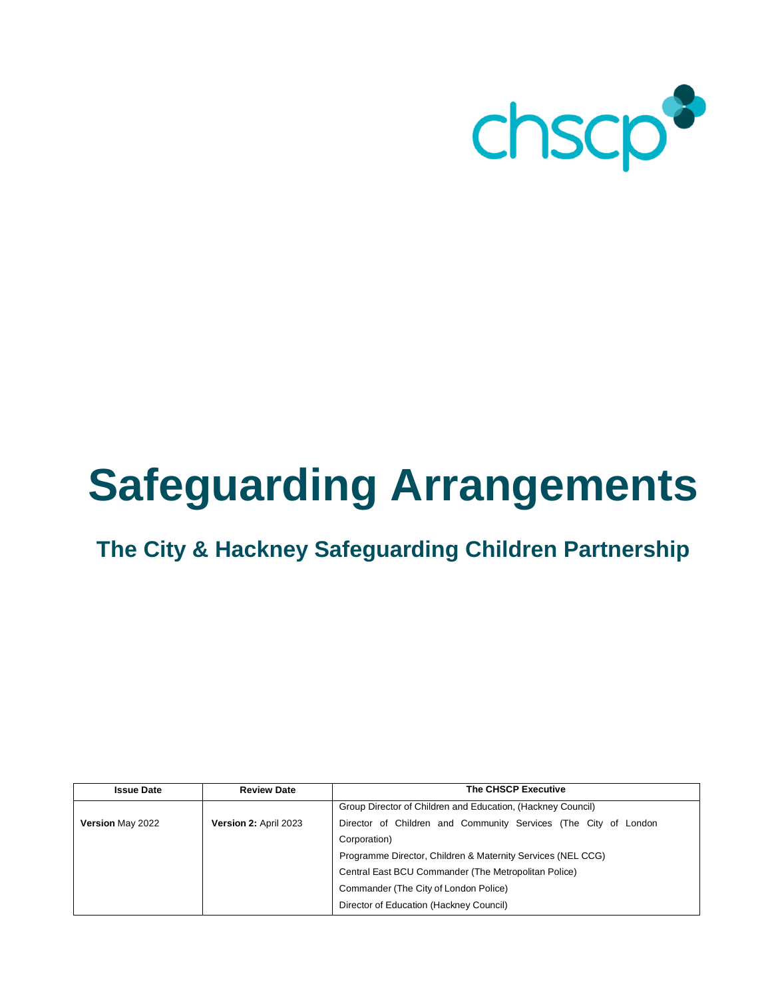

# **Safeguarding Arrangements**

# **The City & Hackney Safeguarding Children Partnership**

| <b>Issue Date</b>       | <b>Review Date</b>    | <b>The CHSCP Executive</b>                                      |
|-------------------------|-----------------------|-----------------------------------------------------------------|
|                         |                       | Group Director of Children and Education, (Hackney Council)     |
| <b>Version May 2022</b> | Version 2: April 2023 | Director of Children and Community Services (The City of London |
|                         |                       | Corporation)                                                    |
|                         |                       | Programme Director, Children & Maternity Services (NEL CCG)     |
|                         |                       | Central East BCU Commander (The Metropolitan Police)            |
|                         |                       | Commander (The City of London Police)                           |
|                         |                       | Director of Education (Hackney Council)                         |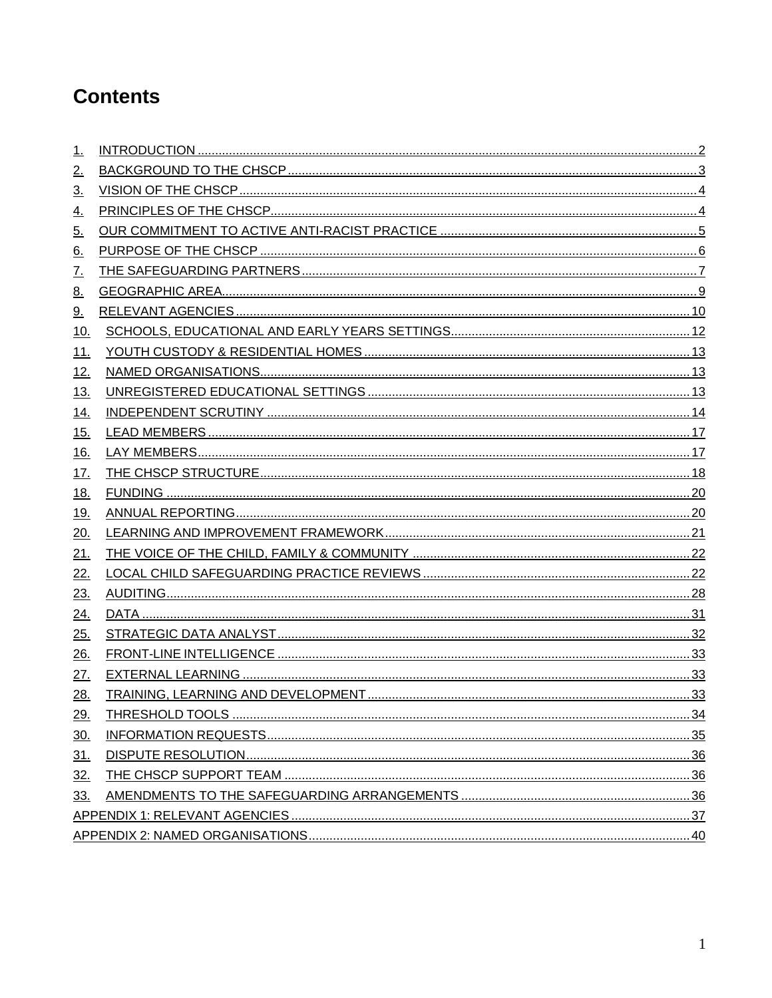# **Contents**

<span id="page-1-0"></span>

| 1.                 |  |
|--------------------|--|
| <u>2.</u>          |  |
| <u>3.</u>          |  |
| <u>4.</u>          |  |
| <u>5.</u>          |  |
| <u>6.</u>          |  |
| <u>7.</u>          |  |
| <u>8.</u>          |  |
| <u>9.</u>          |  |
| 10.                |  |
| <u>11.</u>         |  |
| <u>12.</u>         |  |
| 13.                |  |
| <u>14.</u>         |  |
| $\underline{15}$ . |  |
| 16.                |  |
| <u>17.</u>         |  |
| <u>18.</u>         |  |
| 19.                |  |
| 20.                |  |
| 21.                |  |
| 22.                |  |
| 23.                |  |
| <u>24.</u>         |  |
| <u>25.</u>         |  |
| 26.                |  |
| <u>27.</u>         |  |
| 28.                |  |
| 29.                |  |
| <u>30.</u>         |  |
| <u>31.</u>         |  |
| 32.                |  |
| 33.                |  |
|                    |  |
|                    |  |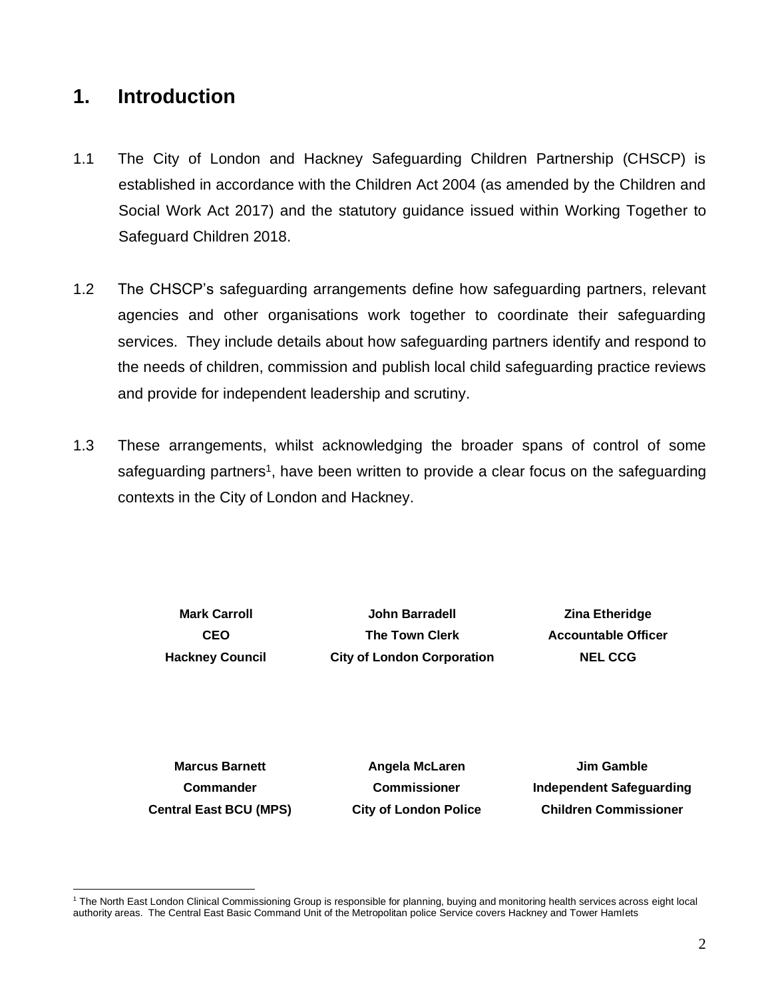### **1. Introduction**

- 1.1 The City of London and Hackney Safeguarding Children Partnership (CHSCP) is established in accordance with the Children Act 2004 (as amended by the Children and Social Work Act 2017) and the statutory guidance issued within Working Together to Safeguard Children 2018.
- 1.2 The CHSCP's safeguarding arrangements define how safeguarding partners, relevant agencies and other organisations work together to coordinate their safeguarding services. They include details about how safeguarding partners identify and respond to the needs of children, commission and publish local child safeguarding practice reviews and provide for independent leadership and scrutiny.
- 1.3 These arrangements, whilst acknowledging the broader spans of control of some safeguarding partners<sup>1</sup>, have been written to provide a clear focus on the safeguarding contexts in the City of London and Hackney.

**Mark Carroll CEO Hackney Council**

**John Barradell The Town Clerk City of London Corporation**

**Zina Etheridge Accountable Officer NEL CCG**

**Marcus Barnett Commander Central East BCU (MPS)**

**Angela McLaren Commissioner City of London Police**

**Jim Gamble Independent Safeguarding Children Commissioner**

<span id="page-2-0"></span><sup>1</sup> The North East London Clinical Commissioning Group is responsible for planning, buying and monitoring health services across eight local authority areas. The Central East Basic Command Unit of the Metropolitan police Service covers Hackney and Tower Hamlets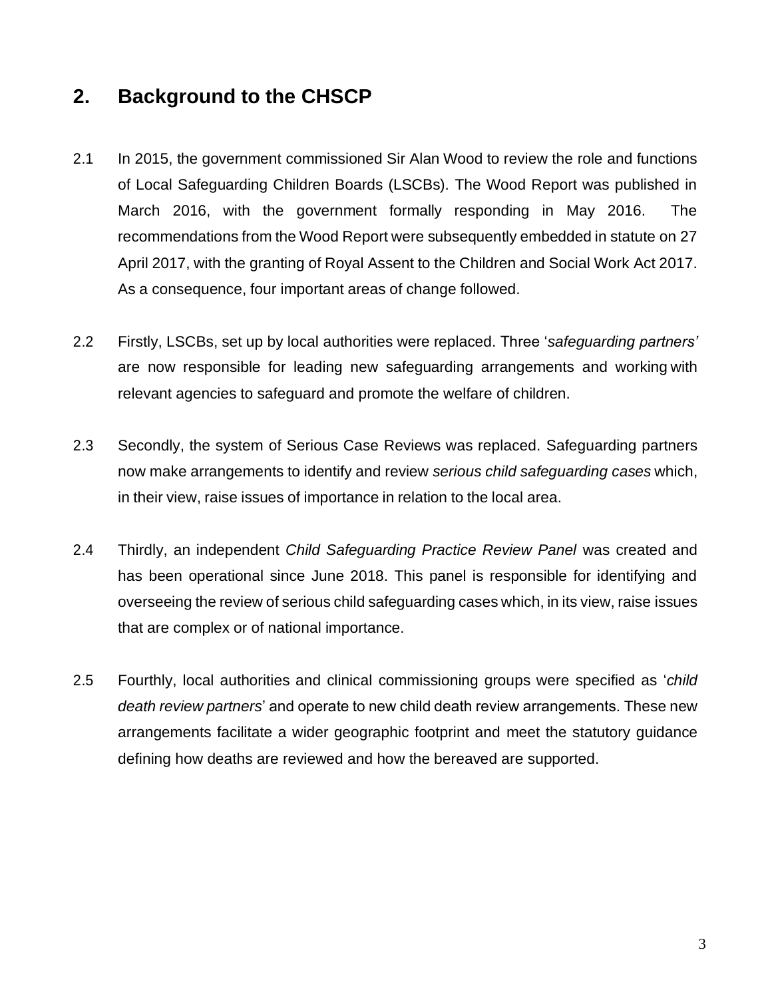### **2. Background to the CHSCP**

- 2.1 In 2015, the government commissioned Sir Alan Wood to review the role and functions of Local Safeguarding Children Boards (LSCBs). The Wood Report was published in March 2016, with the government formally responding in May 2016. The recommendations from the Wood Report were subsequently embedded in statute on 27 April 2017, with the granting of Royal Assent to the Children and Social Work Act 2017. As a consequence, four important areas of change followed.
- 2.2 Firstly, LSCBs, set up by local authorities were replaced. Three '*safeguarding partners'* are now responsible for leading new safeguarding arrangements and working with relevant agencies to safeguard and promote the welfare of children.
- 2.3 Secondly, the system of Serious Case Reviews was replaced. Safeguarding partners now make arrangements to identify and review *serious child safeguarding cases* which, in their view, raise issues of importance in relation to the local area.
- 2.4 Thirdly, an independent *Child Safeguarding Practice Review Panel* was created and has been operational since June 2018. This panel is responsible for identifying and overseeing the review of serious child safeguarding cases which, in its view, raise issues that are complex or of national importance.
- 2.5 Fourthly, local authorities and clinical commissioning groups were specified as '*child death review partners*' and operate to new child death review arrangements. These new arrangements facilitate a wider geographic footprint and meet the statutory guidance defining how deaths are reviewed and how the bereaved are supported.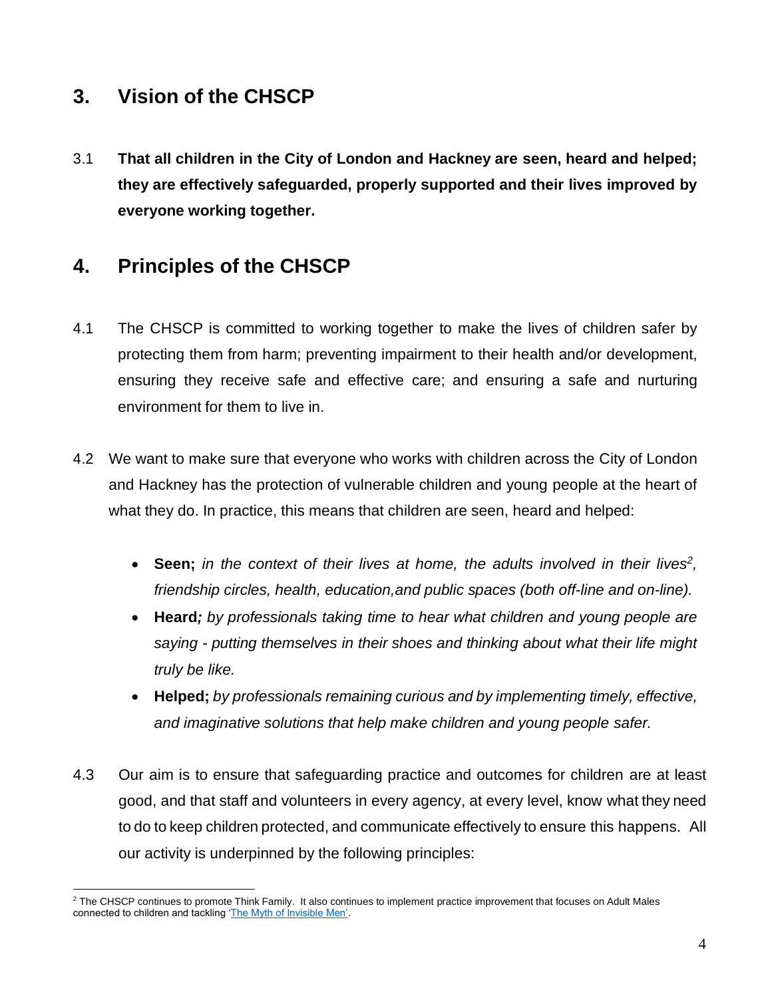### <span id="page-4-0"></span>**3. Vision of the CHSCP**

3.1 **That all children in the City of London and Hackney are seen, heard and helped; they are effectively safeguarded, properly supported and their lives improved by everyone working together.**

# <span id="page-4-1"></span>**4. Principles of the CHSCP**

- 4.1 The CHSCP is committed to working together to make the lives of children safer by protecting them from harm; preventing impairment to their health and/or development, ensuring they receive safe and effective care; and ensuring a safe and nurturing environment for them to live in.
- 4.2 We want to make sure that everyone who works with children across the City of London and Hackney has the protection of vulnerable children and young people at the heart of what they do. In practice, this means that children are seen, heard and helped:
	- **Seen;** *in the context of their lives at home, the adults involved in their lives<sup>2</sup> , friendship circles, health, education,and public spaces (both off-line and on-line).*
	- **Heard***; by professionals taking time to hear what children and young people are saying - putting themselves in their shoes and thinking about what their life might truly be like.*
	- **Helped;** *by professionals remaining curious and by implementing timely, effective, and imaginative solutions that help make children and young people safer.*
- 4.3 Our aim is to ensure that safeguarding practice and outcomes for children are at least good, and that staff and volunteers in every agency, at every level, know what they need to do to keep children protected, and communicate effectively to ensure this happens. All our activity is underpinned by the following principles:

<sup>&</sup>lt;sup>2</sup> The CHSCP continues to promote Think Family. It also continues to implement practice improvement that focuses on Adult Males connected to children and tackling ['The Myth of Invisible Men'.](https://assets.publishing.service.gov.uk/government/uploads/system/uploads/attachment_data/file/1017944/The_myth_of_invisible_men_safeguarding_children_under_1_from_non-accidental_injury_caused_by_male_carers.pdf)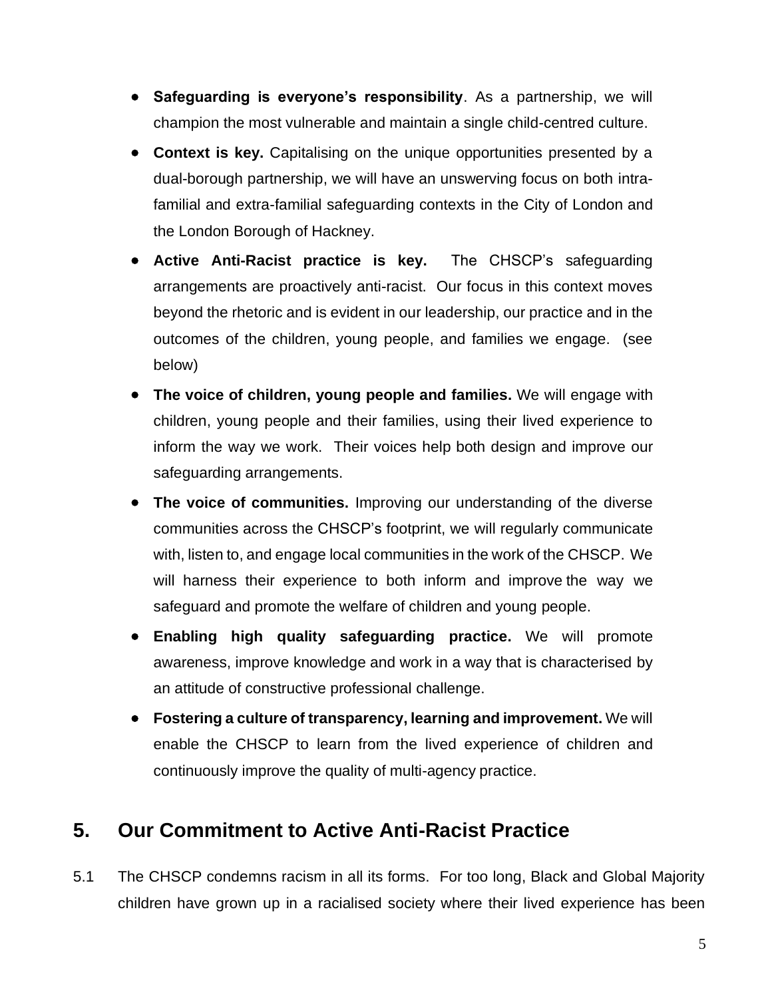- **Safeguarding is everyone's responsibility**. As a partnership, we will champion the most vulnerable and maintain a single child-centred culture.
- **Context is key.** Capitalising on the unique opportunities presented by a dual-borough partnership, we will have an unswerving focus on both intrafamilial and extra-familial safeguarding contexts in the City of London and the London Borough of Hackney.
- **Active Anti-Racist practice is key.** The CHSCP's safeguarding arrangements are proactively anti-racist. Our focus in this context moves beyond the rhetoric and is evident in our leadership, our practice and in the outcomes of the children, young people, and families we engage. (see below)
- **The voice of children, young people and families.** We will engage with children, young people and their families, using their lived experience to inform the way we work. Their voices help both design and improve our safeguarding arrangements.
- **The voice of communities.** Improving our understanding of the diverse communities across the CHSCP's footprint, we will regularly communicate with, listen to, and engage local communities in the work of the CHSCP. We will harness their experience to both inform and improve the way we safeguard and promote the welfare of children and young people.
- **Enabling high quality safeguarding practice.** We will promote awareness, improve knowledge and work in a way that is characterised by an attitude of constructive professional challenge.
- **Fostering a culture of transparency, learning and improvement.** We will enable the CHSCP to learn from the lived experience of children and continuously improve the quality of multi-agency practice.

### <span id="page-5-0"></span>**5. Our Commitment to Active Anti-Racist Practice**

5.1 The CHSCP condemns racism in all its forms. For too long, Black and Global Majority children have grown up in a racialised society where their lived experience has been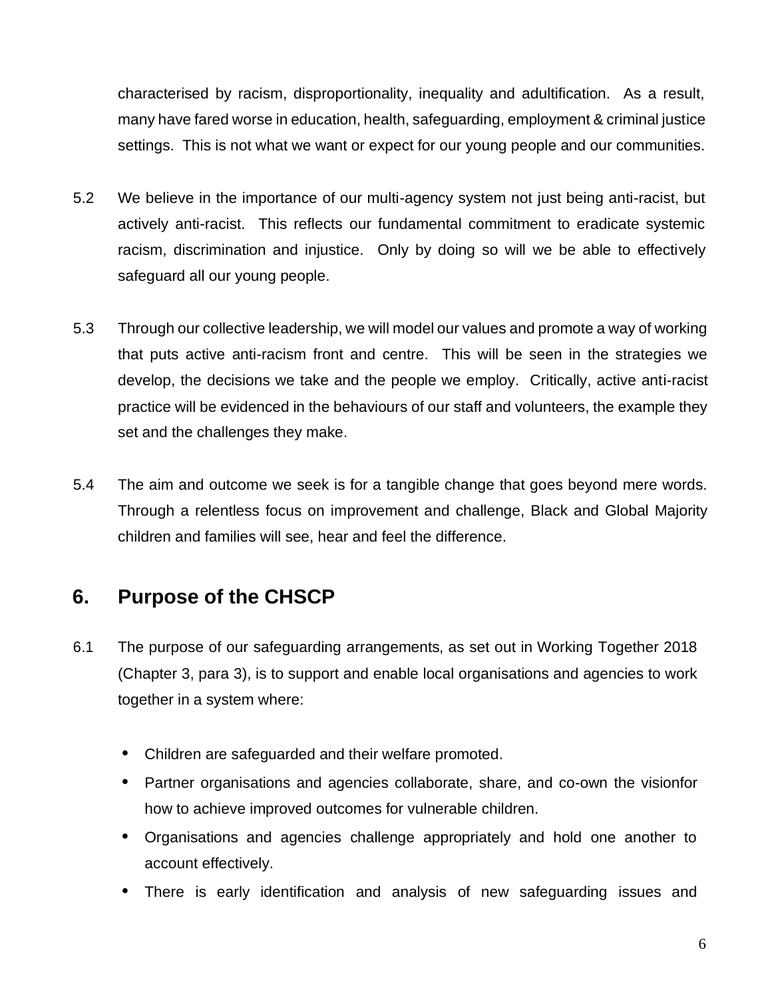characterised by racism, disproportionality, inequality and adultification. As a result, many have fared worse in education, health, safeguarding, employment & criminal justice settings. This is not what we want or expect for our young people and our communities.

- 5.2 We believe in the importance of our multi-agency system not just being anti-racist, but actively anti-racist. This reflects our fundamental commitment to eradicate systemic racism, discrimination and injustice. Only by doing so will we be able to effectively safeguard all our young people.
- 5.3 Through our collective leadership, we will model our values and promote a way of working that puts active anti-racism front and centre. This will be seen in the strategies we develop, the decisions we take and the people we employ. Critically, active anti-racist practice will be evidenced in the behaviours of our staff and volunteers, the example they set and the challenges they make.
- 5.4 The aim and outcome we seek is for a tangible change that goes beyond mere words. Through a relentless focus on improvement and challenge, Black and Global Majority children and families will see, hear and feel the difference.

# <span id="page-6-0"></span>**6. Purpose of the CHSCP**

- 6.1 The purpose of our safeguarding arrangements, as set out in Working Together 2018 (Chapter 3, para 3), is to support and enable local organisations and agencies to work together in a system where:
	- **•** Children are safeguarded and their welfare promoted.
	- **•** Partner organisations and agencies collaborate, share, and co-own the visionfor how to achieve improved outcomes for vulnerable children.
	- **•** Organisations and agencies challenge appropriately and hold one another to account effectively.
	- **•** There is early identification and analysis of new safeguarding issues and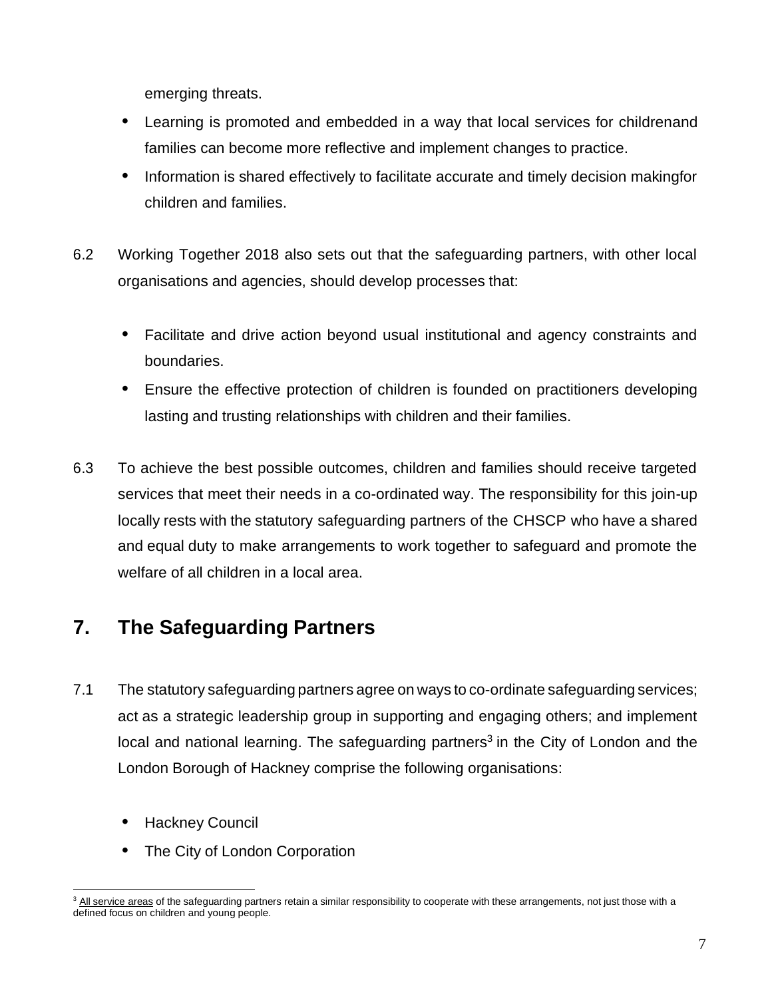emerging threats.

- **•** Learning is promoted and embedded in a way that local services for childrenand families can become more reflective and implement changes to practice.
- **•** Information is shared effectively to facilitate accurate and timely decision makingfor children and families.
- 6.2 Working Together 2018 also sets out that the safeguarding partners, with other local organisations and agencies, should develop processes that:
	- **•** Facilitate and drive action beyond usual institutional and agency constraints and boundaries.
	- **•** Ensure the effective protection of children is founded on practitioners developing lasting and trusting relationships with children and their families.
- 6.3 To achieve the best possible outcomes, children and families should receive targeted services that meet their needs in a co-ordinated way. The responsibility for this join-up locally rests with the statutory safeguarding partners of the CHSCP who have a shared and equal duty to make arrangements to work together to safeguard and promote the welfare of all children in a local area.

# <span id="page-7-0"></span>**7. The Safeguarding Partners**

- 7.1 The statutory safeguarding partners agree on ways to co-ordinate safeguarding services; act as a strategic leadership group in supporting and engaging others; and implement local and national learning. The safeguarding partners<sup>3</sup> in the City of London and the London Borough of Hackney comprise the following organisations:
	- **•** Hackney Council
	- **•** The City of London Corporation

<sup>&</sup>lt;sup>3</sup> All service areas of the safeguarding partners retain a similar responsibility to cooperate with these arrangements, not just those with a defined focus on children and young people.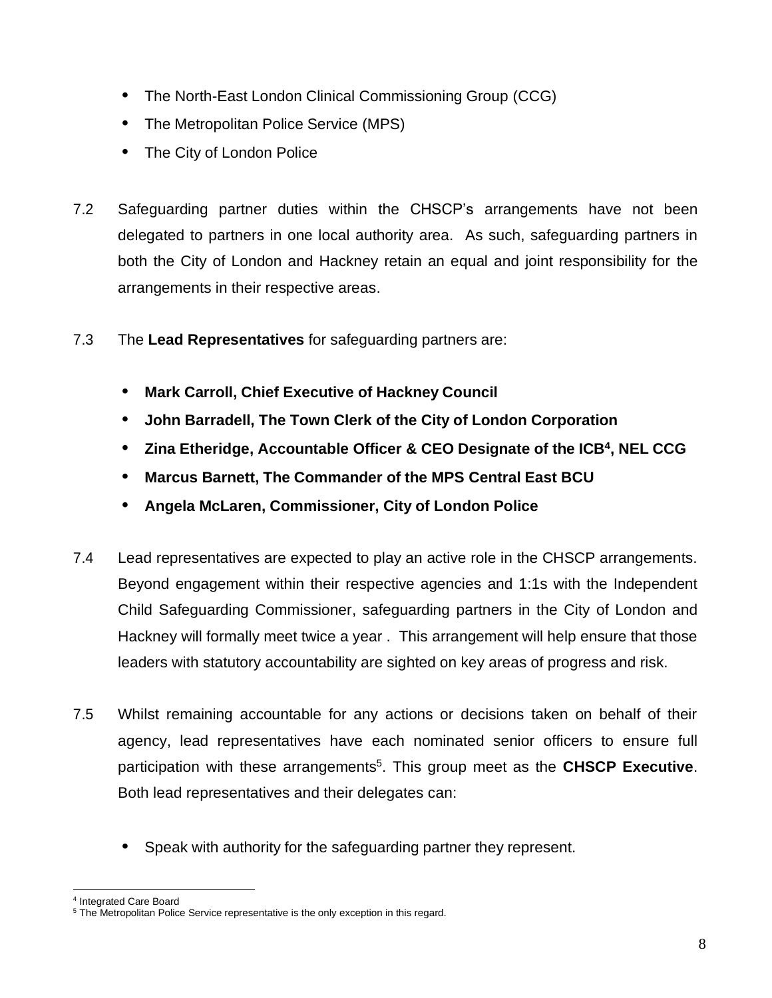- **•** The North-East London Clinical Commissioning Group (CCG)
- **•** The Metropolitan Police Service (MPS)
- **•** The City of London Police
- 7.2 Safeguarding partner duties within the CHSCP's arrangements have not been delegated to partners in one local authority area. As such, safeguarding partners in both the City of London and Hackney retain an equal and joint responsibility for the arrangements in their respective areas.
- 7.3 The **Lead Representatives** for safeguarding partners are:
	- **• Mark Carroll, Chief Executive of Hackney Council**
	- **• John Barradell, The Town Clerk of the City of London Corporation**
	- **• Zina Etheridge, Accountable Officer & CEO Designate of the ICB<sup>4</sup> , NEL CCG**
	- **• Marcus Barnett, The Commander of the MPS Central East BCU**
	- **• Angela McLaren, Commissioner, City of London Police**
- 7.4 Lead representatives are expected to play an active role in the CHSCP arrangements. Beyond engagement within their respective agencies and 1:1s with the Independent Child Safeguarding Commissioner, safeguarding partners in the City of London and Hackney will formally meet twice a year . This arrangement will help ensure that those leaders with statutory accountability are sighted on key areas of progress and risk.
- 7.5 Whilst remaining accountable for any actions or decisions taken on behalf of their agency, lead representatives have each nominated senior officers to ensure full participation with these arrangements<sup>5</sup>. This group meet as the **CHSCP Executive**. Both lead representatives and their delegates can:
	- **•** Speak with authority for the safeguarding partner they represent.

<sup>4</sup> Integrated Care Board

<sup>&</sup>lt;sup>5</sup> The Metropolitan Police Service representative is the only exception in this regard.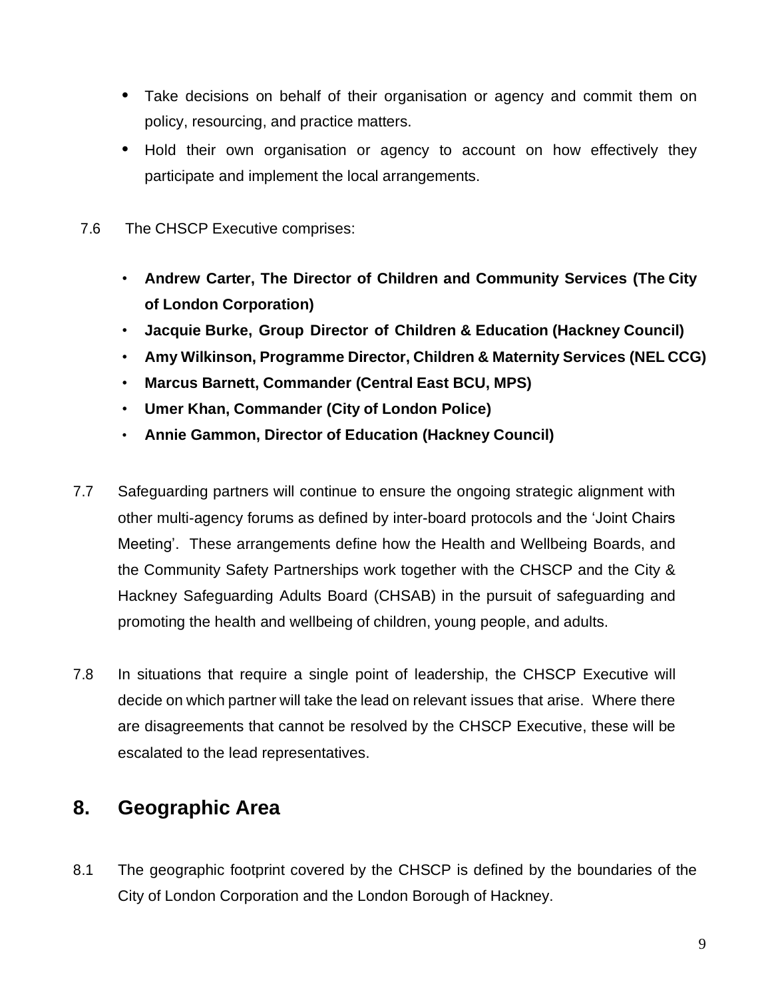- **•** Take decisions on behalf of their organisation or agency and commit them on policy, resourcing, and practice matters.
- **•** Hold their own organisation or agency to account on how effectively they participate and implement the local arrangements.
- 7.6 The CHSCP Executive comprises:
	- **Andrew Carter, The Director of Children and Community Services (The City of London Corporation)**
	- **Jacquie Burke, Group Director of Children & Education (Hackney Council)**
	- **Amy Wilkinson, Programme Director, Children & Maternity Services (NEL CCG)**
	- **Marcus Barnett, Commander (Central East BCU, MPS)**
	- **Umer Khan, Commander (City of London Police)**
	- **Annie Gammon, Director of Education (Hackney Council)**
- 7.7 Safeguarding partners will continue to ensure the ongoing strategic alignment with other multi-agency forums as defined by inter-board protocols and the 'Joint Chairs Meeting'. These arrangements define how the Health and Wellbeing Boards, and the Community Safety Partnerships work together with the CHSCP and the City & Hackney Safeguarding Adults Board (CHSAB) in the pursuit of safeguarding and promoting the health and wellbeing of children, young people, and adults.
- 7.8 In situations that require a single point of leadership, the CHSCP Executive will decide on which partner will take the lead on relevant issues that arise. Where there are disagreements that cannot be resolved by the CHSCP Executive, these will be escalated to the lead representatives.

### <span id="page-9-0"></span>**8. Geographic Area**

8.1 The geographic footprint covered by the CHSCP is defined by the boundaries of the City of London Corporation and the London Borough of Hackney.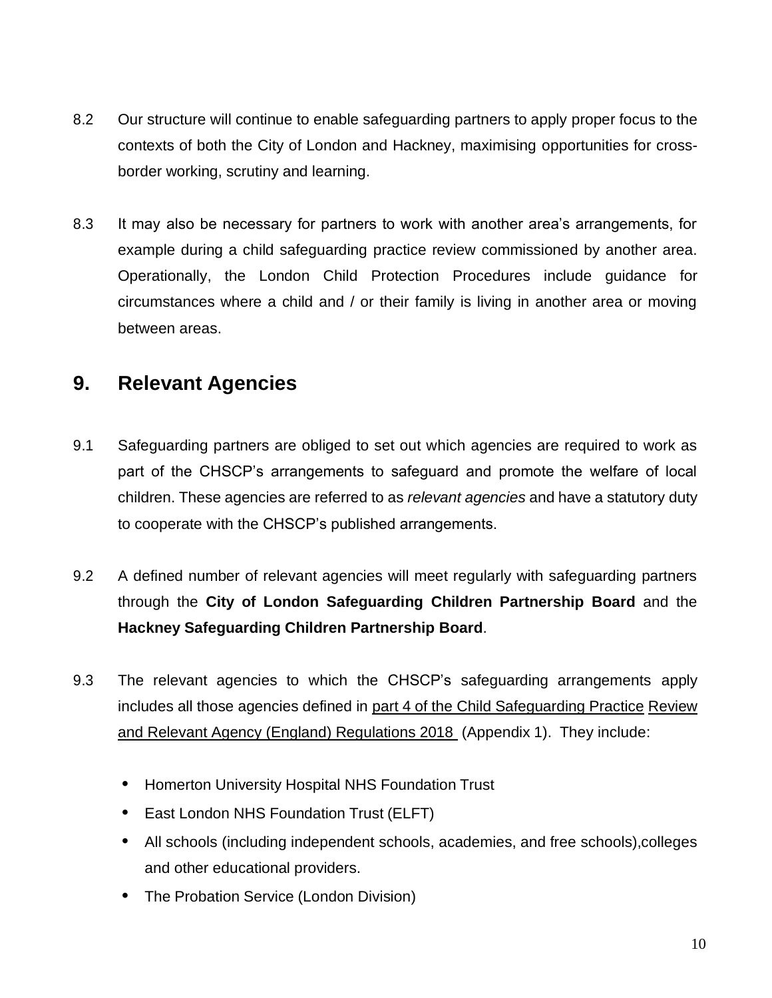- 8.2 Our structure will continue to enable safeguarding partners to apply proper focus to the contexts of both the City of London and Hackney, maximising opportunities for crossborder working, scrutiny and learning.
- 8.3 It may also be necessary for partners to work with another area's arrangements, for example during a child safeguarding practice review commissioned by another area. Operationally, the London Child Protection Procedures include guidance for circumstances where a child and / or their family is living in another area or moving between areas.

### <span id="page-10-0"></span>**9. Relevant Agencies**

- 9.1 Safeguarding partners are obliged to set out which agencies are required to work as part of the CHSCP's arrangements to safeguard and promote the welfare of local children. These agencies are referred to as *relevant agencies* and have a statutory duty to cooperate with the CHSCP's published arrangements.
- 9.2 A defined number of relevant agencies will meet regularly with safeguarding partners through the **City of London Safeguarding Children Partnership Board** and the **Hackney Safeguarding Children Partnership Board**.
- 9.3 The relevant agencies to which the CHSCP's safeguarding arrangements apply includes all those agencies defined in [part 4 of the Child Safeguarding Practice](http://www.legislation.gov.uk/uksi/2018/789/contents/made) [Review](http://www.legislation.gov.uk/uksi/2018/789/contents/made)  [and Relevant Agency \(England\) Regulations 2018](http://www.legislation.gov.uk/uksi/2018/789/contents/made) (Appendix 1). They include:
	- **•** Homerton University Hospital NHS Foundation Trust
	- **•** East London NHS Foundation Trust (ELFT)
	- **•** All schools (including independent schools, academies, and free schools),colleges and other educational providers.
	- **•** The Probation Service (London Division)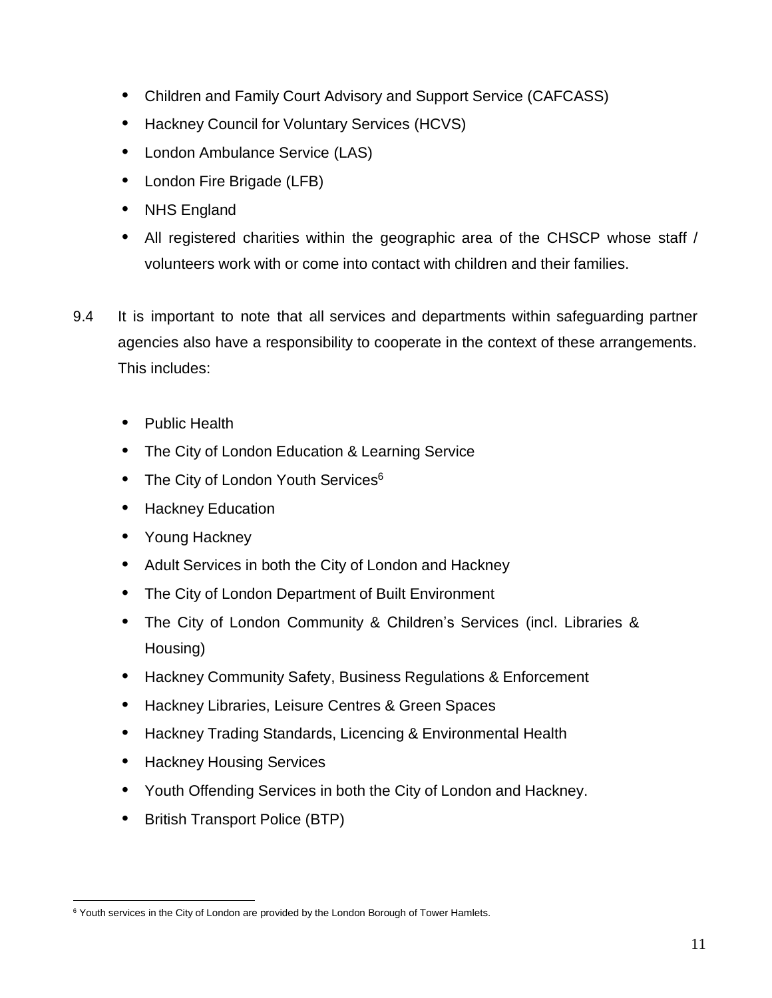- **•** Children and Family Court Advisory and Support Service (CAFCASS)
- **•** Hackney Council for Voluntary Services (HCVS)
- **•** London Ambulance Service (LAS)
- **•** London Fire Brigade (LFB)
- **•** NHS England
- **•** All registered charities within the geographic area of the CHSCP whose staff / volunteers work with or come into contact with children and their families.
- 9.4 It is important to note that all services and departments within safeguarding partner agencies also have a responsibility to cooperate in the context of these arrangements. This includes:
	- **•** Public Health
	- **•** The City of London Education & Learning Service
	- **The City of London Youth Services<sup>6</sup>**
	- **•** Hackney Education
	- **•** Young Hackney
	- **•** Adult Services in both the City of London and Hackney
	- **•** The City of London Department of Built Environment
	- **•** The City of London Community & Children's Services (incl. Libraries & Housing)
	- **•** Hackney Community Safety, Business Regulations & Enforcement
	- **•** Hackney Libraries, Leisure Centres & Green Spaces
	- **•** Hackney Trading Standards, Licencing & Environmental Health
	- **•** Hackney Housing Services
	- **•** Youth Offending Services in both the City of London and Hackney.
	- **•** British Transport Police (BTP)

<sup>&</sup>lt;sup>6</sup> Youth services in the City of London are provided by the London Borough of Tower Hamlets.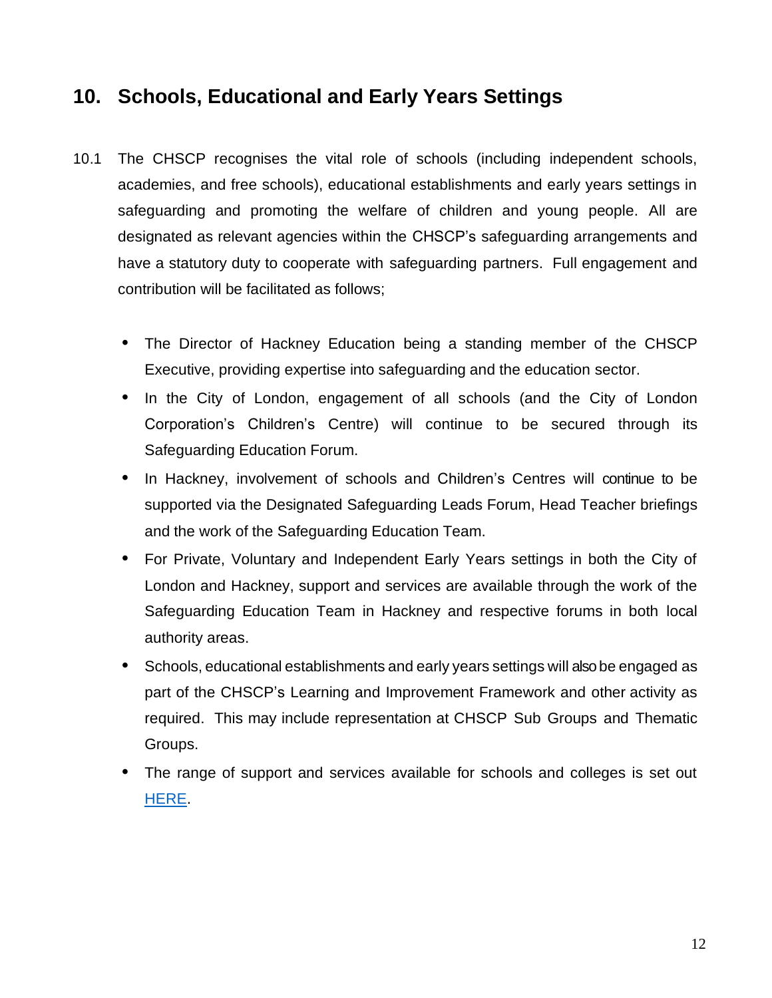### <span id="page-12-0"></span>**10. Schools, Educational and Early Years Settings**

- 10.1 The CHSCP recognises the vital role of schools (including independent schools, academies, and free schools), educational establishments and early years settings in safeguarding and promoting the welfare of children and young people. All are designated as relevant agencies within the CHSCP's safeguarding arrangements and have a statutory duty to cooperate with safeguarding partners. Full engagement and contribution will be facilitated as follows;
	- **•** The Director of Hackney Education being a standing member of the CHSCP Executive, providing expertise into safeguarding and the education sector.
	- **•** In the City of London, engagement of all schools (and the City of London Corporation's Children's Centre) will continue to be secured through its Safeguarding Education Forum.
	- **•** In Hackney, involvement of schools and Children's Centres will continue to be supported via the Designated Safeguarding Leads Forum, Head Teacher briefings and the work of the Safeguarding Education Team.
	- **•** For Private, Voluntary and Independent Early Years settings in both the City of London and Hackney, support and services are available through the work of the Safeguarding Education Team in Hackney and respective forums in both local authority areas.
	- **•** Schools, educational establishments and early years settings will also be engaged as part of the CHSCP's Learning and Improvement Framework and other activity as required. This may include representation at CHSCP Sub Groups and Thematic Groups.
	- **•** The range of support and services available for schools and colleges is set out [HERE.](https://www.chscp.org.uk/schools-colleges/)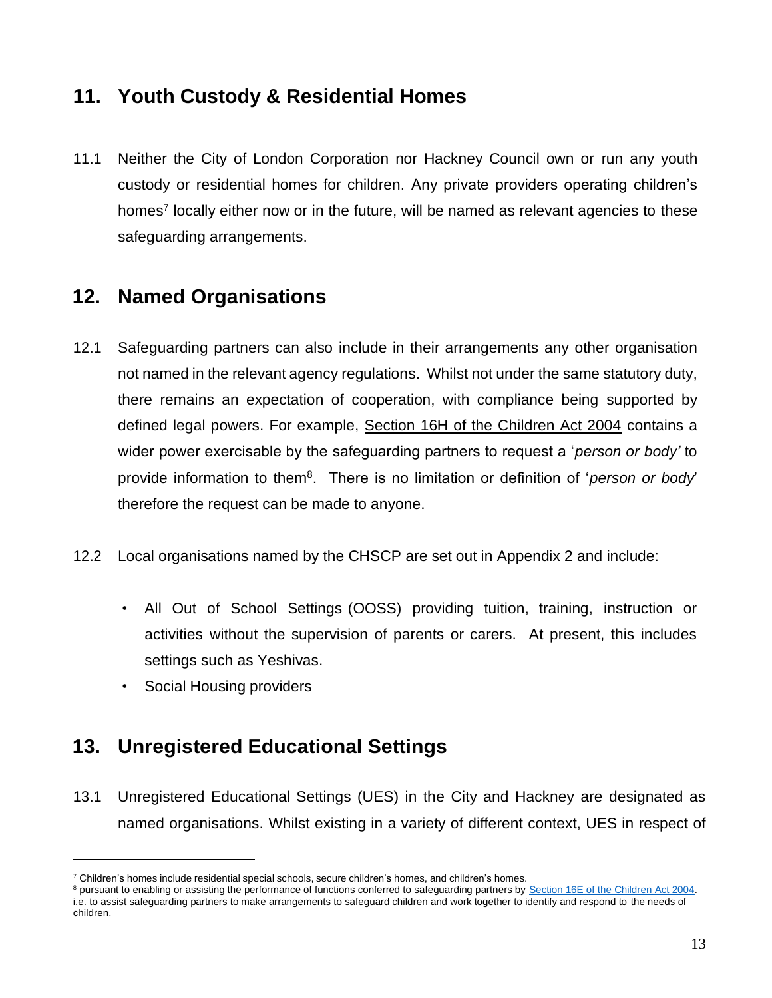### <span id="page-13-0"></span>**11. Youth Custody & Residential Homes**

11.1 Neither the City of London Corporation nor Hackney Council own or run any youth custody or residential homes for children. Any private providers operating children's homes<sup>7</sup> locally either now or in the future, will be named as relevant agencies to these safeguarding arrangements.

### <span id="page-13-1"></span>**12. Named Organisations**

- 12.1 Safeguarding partners can also include in their arrangements any other organisation not named in the relevant agency regulations. Whilst not under the same statutory duty, there remains an expectation of cooperation, with compliance being supported by defined legal powers. For example, [Section 16H of the Children Act 2004](https://www.legislation.gov.uk/ukpga/2004/31/section/16H) contains a wider power exercisable by the safeguarding partners to request a '*person or body'* to provide information to them<sup>8</sup> . There is no limitation or definition of '*person or body*' therefore the request can be made to anyone.
- 12.2 Local organisations named by the CHSCP are set out in Appendix 2 and include:
	- All Out of School Settings (OOSS) providing tuition, training, instruction or activities without the supervision of parents or carers. At present, this includes settings such as Yeshivas.
	- Social Housing providers

# <span id="page-13-2"></span>**13. Unregistered Educational Settings**

13.1 Unregistered Educational Settings (UES) in the City and Hackney are designated as named organisations. Whilst existing in a variety of different context, UES in respect of

 $7$  Children's homes include residential special schools, secure children's homes, and children's homes.

<sup>&</sup>lt;sup>8</sup> pursuant to enabling or assisting the performance of functions conferred to safeguarding partners b[y Section 16E of the Children Act 2004.](https://www.legislation.gov.uk/ukpga/2004/31/section/16E) i.e. to assist safeguarding partners to make arrangements to safeguard children and work together to identify and respond to the needs of children.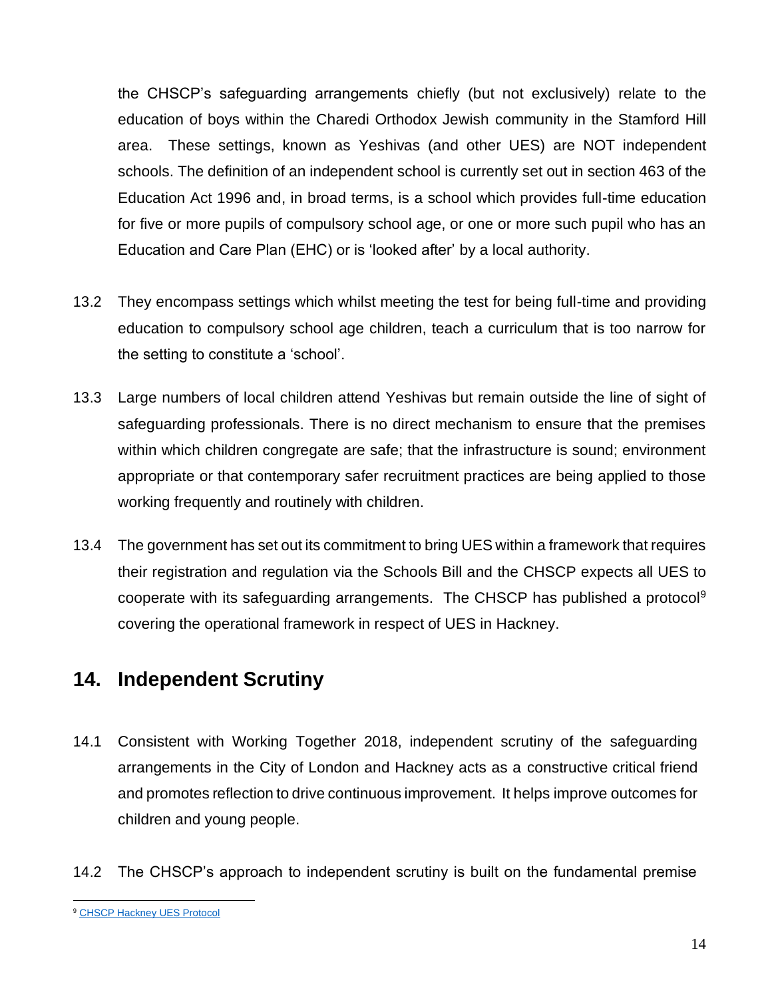the CHSCP's safeguarding arrangements chiefly (but not exclusively) relate to the education of boys within the Charedi Orthodox Jewish community in the Stamford Hill area. These settings, known as Yeshivas (and other UES) are NOT independent schools. The definition of an independent school is currently set out in section 463 of the Education Act 1996 and, in broad terms, is a school which provides full-time education for five or more pupils of compulsory school age, or one or more such pupil who has an Education and Care Plan (EHC) or is 'looked after' by a local authority.

- 13.2 They encompass settings which whilst meeting the test for being full-time and providing education to compulsory school age children, teach a curriculum that is too narrow for the setting to constitute a 'school'.
- 13.3 Large numbers of local children attend Yeshivas but remain outside the line of sight of safeguarding professionals. There is no direct mechanism to ensure that the premises within which children congregate are safe; that the infrastructure is sound; environment appropriate or that contemporary safer recruitment practices are being applied to those working frequently and routinely with children.
- 13.4 The government has set out its commitment to bring UES within a framework that requires their registration and regulation via the Schools Bill and the CHSCP expects all UES to cooperate with its safeguarding arrangements. The CHSCP has published a protocol<sup>9</sup> covering the operational framework in respect of UES in Hackney.

### <span id="page-14-0"></span>**14. Independent Scrutiny**

- 14.1 Consistent with Working Together 2018, independent scrutiny of the safeguarding arrangements in the City of London and Hackney acts as a constructive critical friend and promotes reflection to drive continuous improvement. It helps improve outcomes for children and young people.
- 14.2 The CHSCP's approach to independent scrutiny is built on the fundamental premise

<sup>9</sup> [CHSCP Hackney UES Protocol](https://www.chscp.org.uk/unregistered-educational-settings/)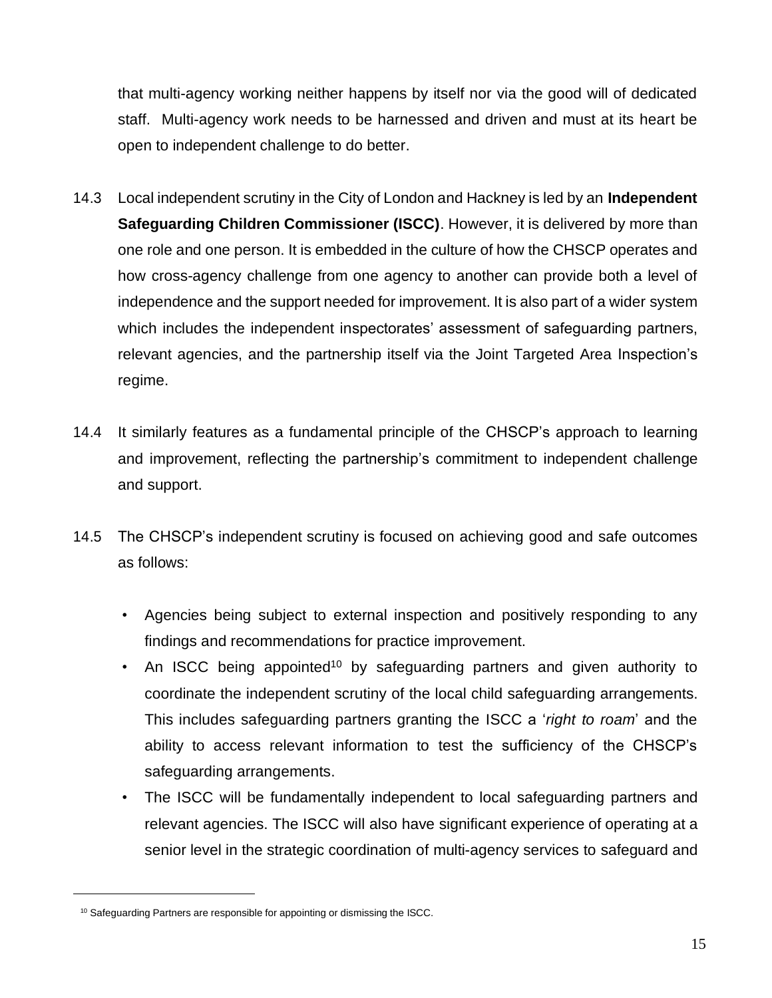that multi-agency working neither happens by itself nor via the good will of dedicated staff. Multi-agency work needs to be harnessed and driven and must at its heart be open to independent challenge to do better.

- 14.3 Local independent scrutiny in the City of London and Hackney is led by an **Independent Safeguarding Children Commissioner (ISCC)**. However, it is delivered by more than one role and one person. It is embedded in the culture of how the CHSCP operates and how cross-agency challenge from one agency to another can provide both a level of independence and the support needed for improvement. It is also part of a wider system which includes the independent inspectorates' assessment of safeguarding partners, relevant agencies, and the partnership itself via the Joint Targeted Area Inspection's regime.
- 14.4 It similarly features as a fundamental principle of the CHSCP's approach to learning and improvement, reflecting the partnership's commitment to independent challenge and support.
- 14.5 The CHSCP's independent scrutiny is focused on achieving good and safe outcomes as follows:
	- Agencies being subject to external inspection and positively responding to any findings and recommendations for practice improvement.
	- An ISCC being appointed<sup>10</sup> by safeguarding partners and given authority to coordinate the independent scrutiny of the local child safeguarding arrangements. This includes safeguarding partners granting the ISCC a '*right to roam*' and the ability to access relevant information to test the sufficiency of the CHSCP's safeguarding arrangements.
	- The ISCC will be fundamentally independent to local safeguarding partners and relevant agencies. The ISCC will also have significant experience of operating at a senior level in the strategic coordination of multi-agency services to safeguard and

<sup>&</sup>lt;sup>10</sup> Safeguarding Partners are responsible for appointing or dismissing the ISCC.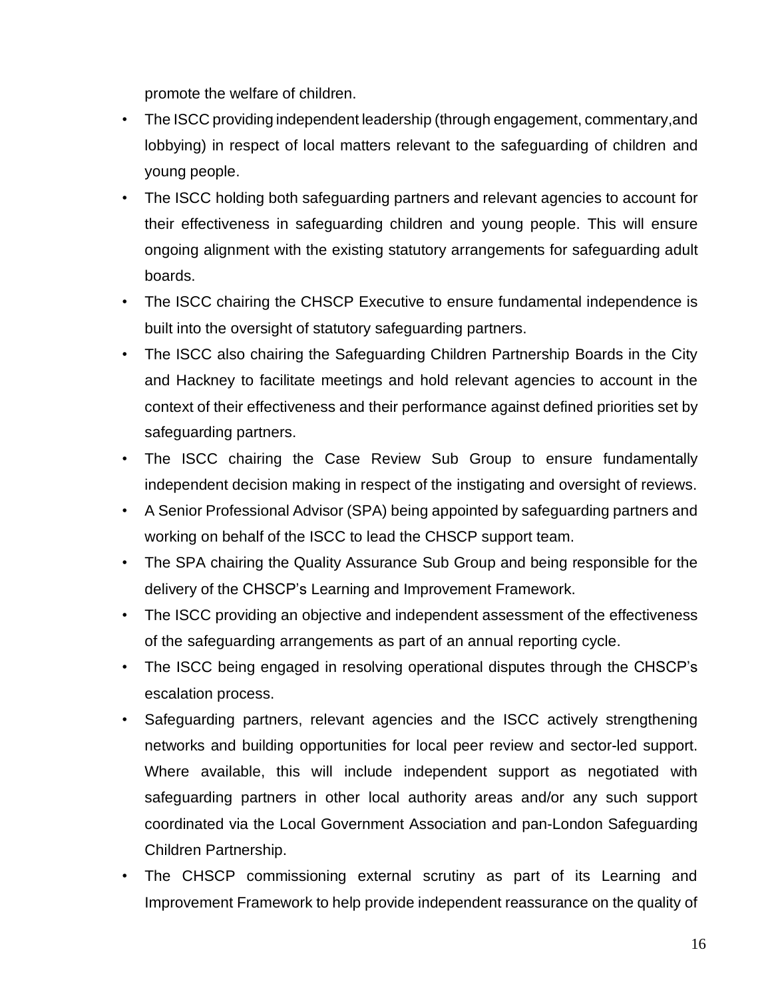promote the welfare of children.

- The ISCC providing independent leadership (through engagement, commentary,and lobbying) in respect of local matters relevant to the safeguarding of children and young people.
- The ISCC holding both safeguarding partners and relevant agencies to account for their effectiveness in safeguarding children and young people. This will ensure ongoing alignment with the existing statutory arrangements for safeguarding adult boards.
- The ISCC chairing the CHSCP Executive to ensure fundamental independence is built into the oversight of statutory safeguarding partners.
- The ISCC also chairing the Safeguarding Children Partnership Boards in the City and Hackney to facilitate meetings and hold relevant agencies to account in the context of their effectiveness and their performance against defined priorities set by safeguarding partners.
- The ISCC chairing the Case Review Sub Group to ensure fundamentally independent decision making in respect of the instigating and oversight of reviews.
- A Senior Professional Advisor (SPA) being appointed by safeguarding partners and working on behalf of the ISCC to lead the CHSCP support team.
- The SPA chairing the Quality Assurance Sub Group and being responsible for the delivery of the CHSCP's Learning and Improvement Framework.
- The ISCC providing an objective and independent assessment of the effectiveness of the safeguarding arrangements as part of an annual reporting cycle.
- The ISCC being engaged in resolving operational disputes through the CHSCP's escalation process.
- Safeguarding partners, relevant agencies and the ISCC actively strengthening networks and building opportunities for local peer review and sector-led support. Where available, this will include independent support as negotiated with safeguarding partners in other local authority areas and/or any such support coordinated via the Local Government Association and pan-London Safeguarding Children Partnership.
- The CHSCP commissioning external scrutiny as part of its Learning and Improvement Framework to help provide independent reassurance on the quality of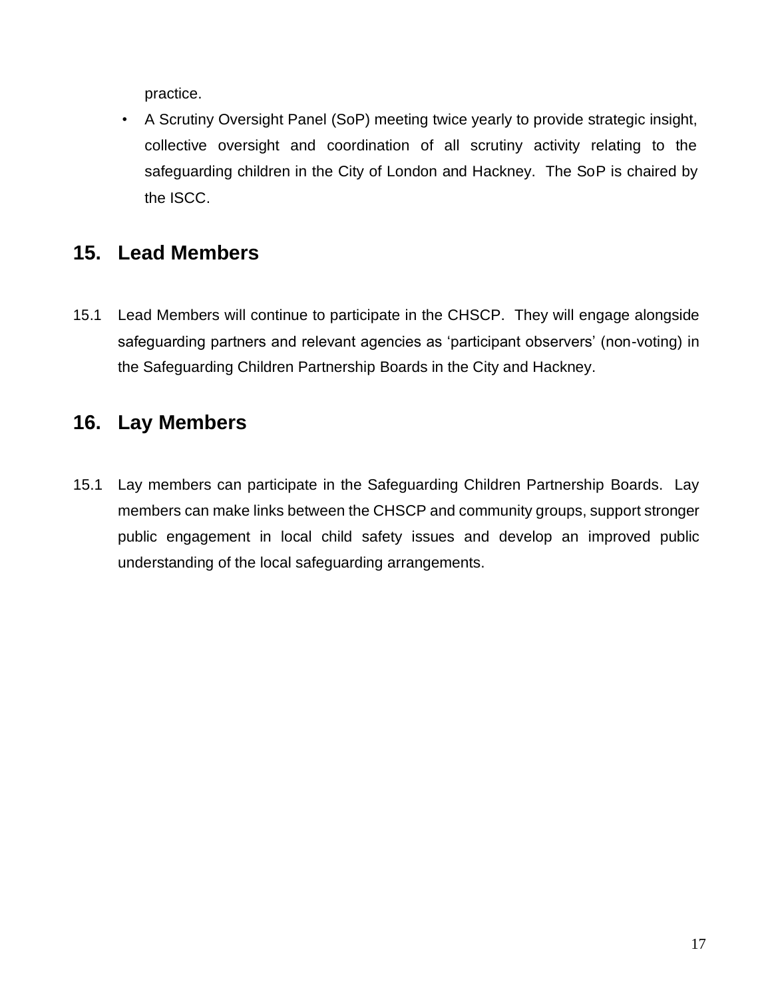practice.

• A Scrutiny Oversight Panel (SoP) meeting twice yearly to provide strategic insight, collective oversight and coordination of all scrutiny activity relating to the safeguarding children in the City of London and Hackney. The SoP is chaired by the ISCC.

### <span id="page-17-0"></span>**15. Lead Members**

15.1 Lead Members will continue to participate in the CHSCP. They will engage alongside safeguarding partners and relevant agencies as 'participant observers' (non-voting) in the Safeguarding Children Partnership Boards in the City and Hackney.

### <span id="page-17-1"></span>**16. Lay Members**

15.1 Lay members can participate in the Safeguarding Children Partnership Boards. Lay members can make links between the CHSCP and community groups, support stronger public engagement in local child safety issues and develop an improved public understanding of the local safeguarding arrangements.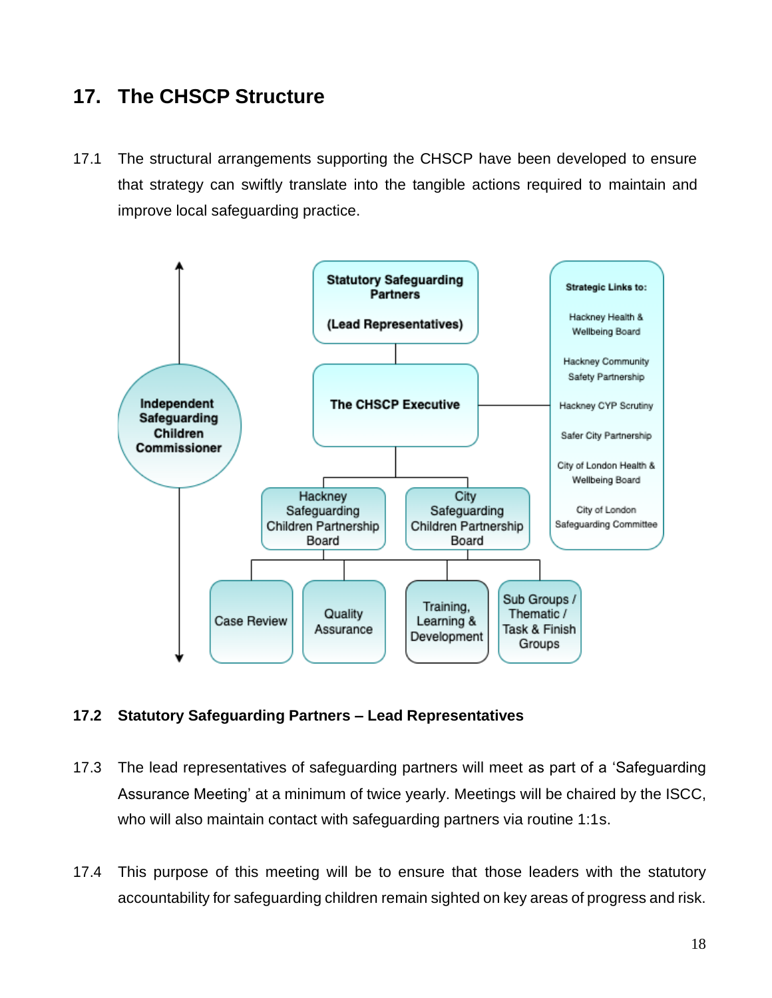### <span id="page-18-0"></span>**17. The CHSCP Structure**

17.1 The structural arrangements supporting the CHSCP have been developed to ensure that strategy can swiftly translate into the tangible actions required to maintain and improve local safeguarding practice.



#### **17.2 Statutory Safeguarding Partners – Lead Representatives**

- 17.3 The lead representatives of safeguarding partners will meet as part of a 'Safeguarding Assurance Meeting' at a minimum of twice yearly. Meetings will be chaired by the ISCC, who will also maintain contact with safeguarding partners via routine 1:1s.
- 17.4 This purpose of this meeting will be to ensure that those leaders with the statutory accountability for safeguarding children remain sighted on key areas of progress and risk.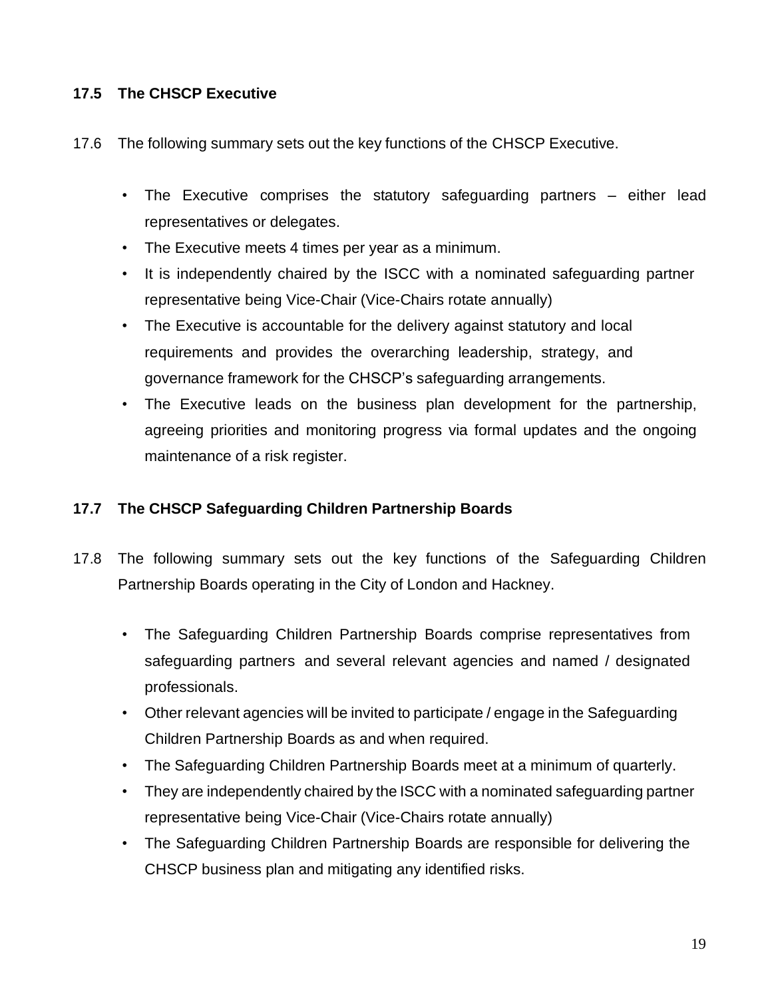### **17.5 The CHSCP Executive**

- 17.6 The following summary sets out the key functions of the CHSCP Executive.
	- The Executive comprises the statutory safeguarding partners either lead representatives or delegates.
	- The Executive meets 4 times per year as a minimum.
	- It is independently chaired by the ISCC with a nominated safeguarding partner representative being Vice-Chair (Vice-Chairs rotate annually)
	- The Executive is accountable for the delivery against statutory and local requirements and provides the overarching leadership, strategy, and governance framework for the CHSCP's safeguarding arrangements.
	- The Executive leads on the business plan development for the partnership, agreeing priorities and monitoring progress via formal updates and the ongoing maintenance of a risk register.

### **17.7 The CHSCP Safeguarding Children Partnership Boards**

- 17.8 The following summary sets out the key functions of the Safeguarding Children Partnership Boards operating in the City of London and Hackney.
	- The Safeguarding Children Partnership Boards comprise representatives from safeguarding partners and several relevant agencies and named / designated professionals.
	- Other relevant agencies will be invited to participate / engage in the Safeguarding Children Partnership Boards as and when required.
	- The Safeguarding Children Partnership Boards meet at a minimum of quarterly.
	- They are independently chaired by the ISCC with a nominated safeguarding partner representative being Vice-Chair (Vice-Chairs rotate annually)
	- The Safeguarding Children Partnership Boards are responsible for delivering the CHSCP business plan and mitigating any identified risks.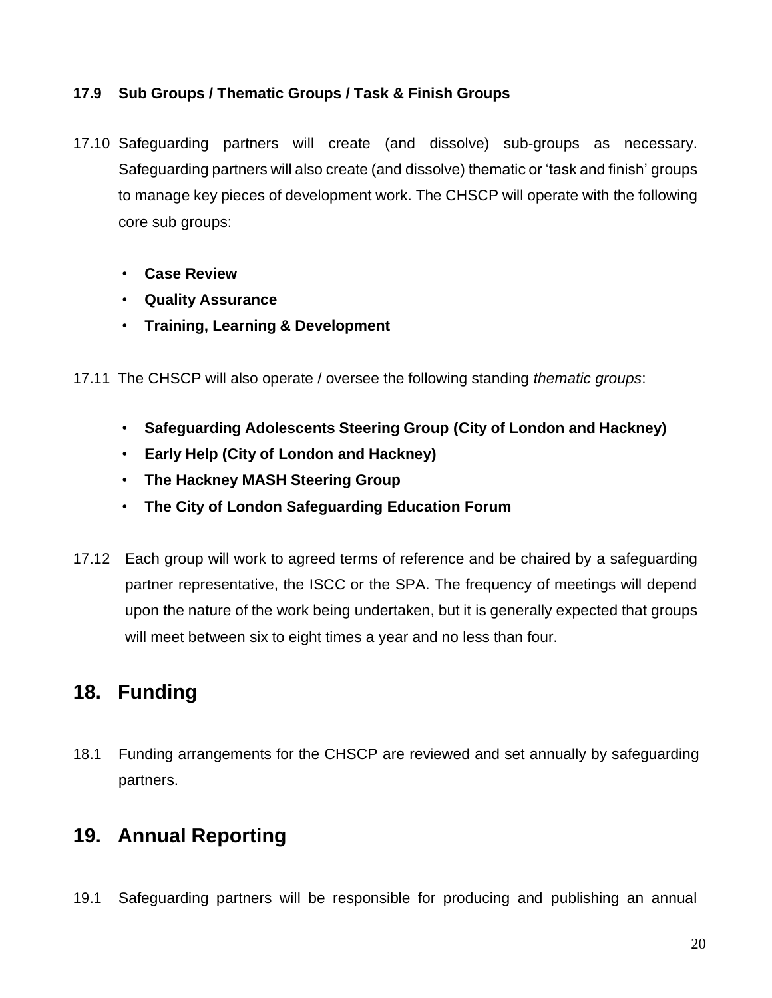### **17.9 Sub Groups / Thematic Groups / Task & Finish Groups**

- 17.10 Safeguarding partners will create (and dissolve) sub-groups as necessary. Safeguarding partners will also create (and dissolve) thematic or 'task and finish' groups to manage key pieces of development work. The CHSCP will operate with the following core sub groups:
	- **Case Review**
	- **Quality Assurance**
	- **Training, Learning & Development**
- 17.11 The CHSCP will also operate / oversee the following standing *thematic groups*:
	- **Safeguarding Adolescents Steering Group (City of London and Hackney)**
	- **Early Help (City of London and Hackney)**
	- **The Hackney MASH Steering Group**
	- **The City of London Safeguarding Education Forum**
- 17.12 Each group will work to agreed terms of reference and be chaired by a safeguarding partner representative, the ISCC or the SPA. The frequency of meetings will depend upon the nature of the work being undertaken, but it is generally expected that groups will meet between six to eight times a year and no less than four.

# <span id="page-20-0"></span>**18. Funding**

18.1 Funding arrangements for the CHSCP are reviewed and set annually by safeguarding partners.

# <span id="page-20-1"></span>**19. Annual Reporting**

19.1 Safeguarding partners will be responsible for producing and publishing an annual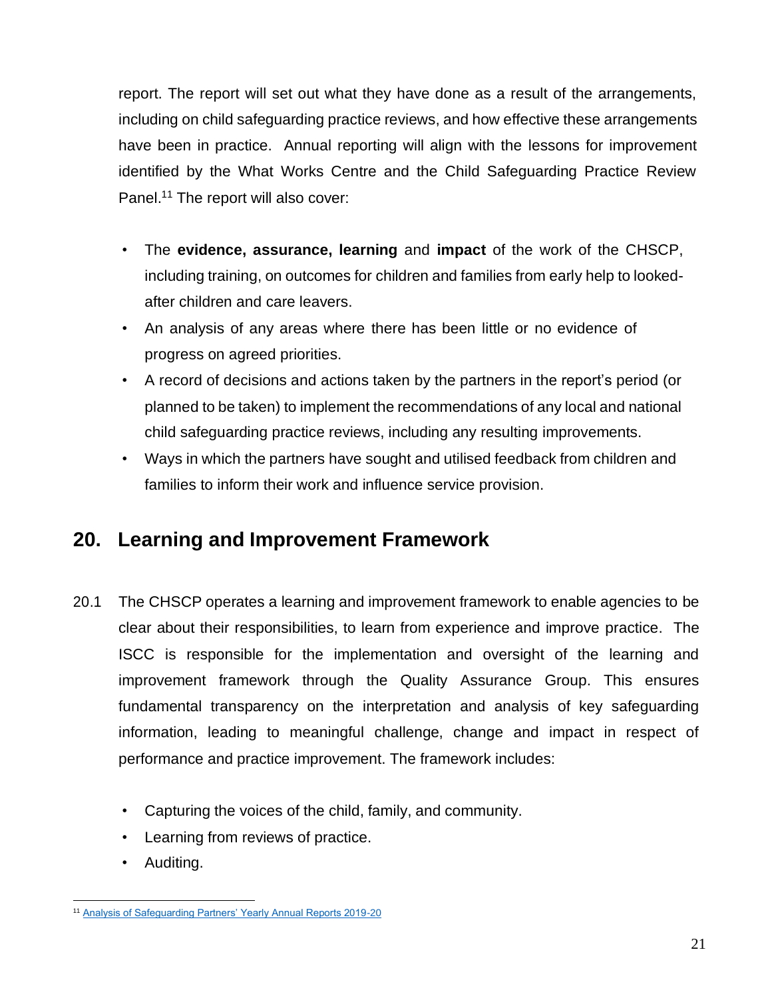report. The report will set out what they have done as a result of the arrangements, including on child safeguarding practice reviews, and how effective these arrangements have been in practice. Annual reporting will align with the lessons for improvement identified by the What Works Centre and the Child Safeguarding Practice Review Panel.<sup>11</sup> The report will also cover:

- The **evidence, assurance, learning** and **impact** of the work of the CHSCP, including training, on outcomes for children and families from early help to lookedafter children and care leavers.
- An analysis of any areas where there has been little or no evidence of progress on agreed priorities.
- A record of decisions and actions taken by the partners in the report's period (or planned to be taken) to implement the recommendations of any local and national child safeguarding practice reviews, including any resulting improvements.
- Ways in which the partners have sought and utilised feedback from children and families to inform their work and influence service provision.

### <span id="page-21-0"></span>**20. Learning and Improvement Framework**

- 20.1 The CHSCP operates a learning and improvement framework to enable agencies to be clear about their responsibilities, to learn from experience and improve practice. The ISCC is responsible for the implementation and oversight of the learning and improvement framework through the Quality Assurance Group. This ensures fundamental transparency on the interpretation and analysis of key safeguarding information, leading to meaningful challenge, change and impact in respect of performance and practice improvement. The framework includes:
	- Capturing the voices of the child, family, and community.
	- Learning from reviews of practice.
	- Auditing.

<sup>11</sup> [Analysis of Safeguarding Partners' Yearly Annual Reports 2019-20](https://whatworks-csc.org.uk/research-report/analysis-of-safeguarding-partners-yearly-reports-2019-2020/)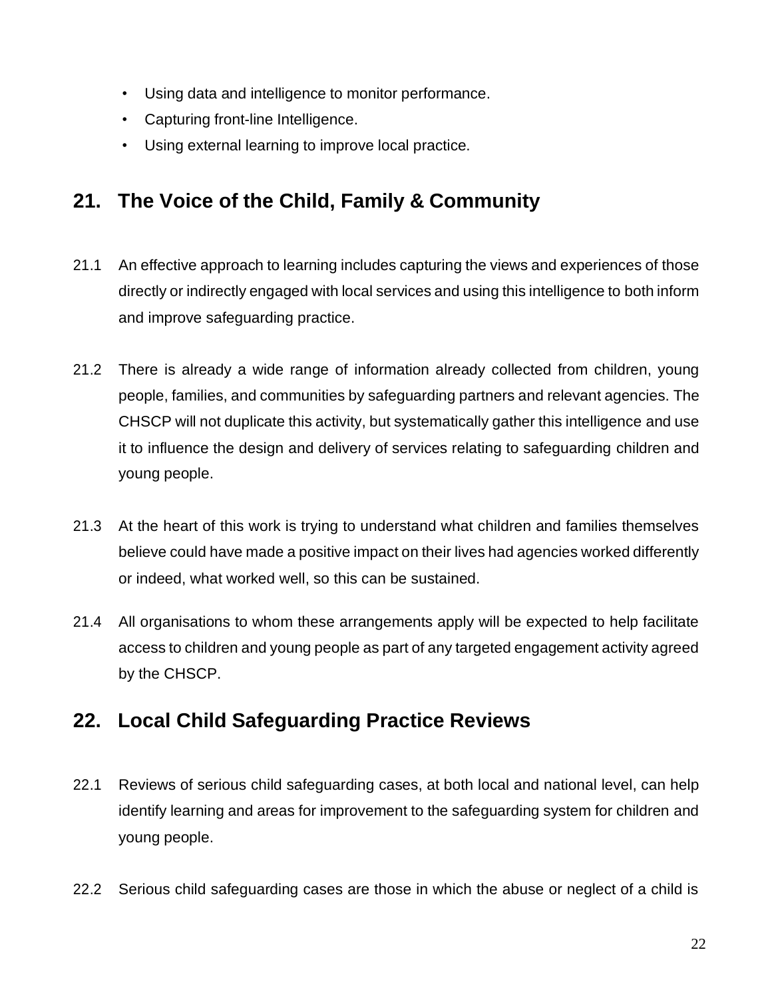- Using data and intelligence to monitor performance.
- Capturing front-line Intelligence.
- Using external learning to improve local practice.

# <span id="page-22-0"></span>**21. The Voice of the Child, Family & Community**

- 21.1 An effective approach to learning includes capturing the views and experiences of those directly or indirectly engaged with local services and using this intelligence to both inform and improve safeguarding practice.
- 21.2 There is already a wide range of information already collected from children, young people, families, and communities by safeguarding partners and relevant agencies. The CHSCP will not duplicate this activity, but systematically gather this intelligence and use it to influence the design and delivery of services relating to safeguarding children and young people.
- 21.3 At the heart of this work is trying to understand what children and families themselves believe could have made a positive impact on their lives had agencies worked differently or indeed, what worked well, so this can be sustained.
- 21.4 All organisations to whom these arrangements apply will be expected to help facilitate access to children and young people as part of any targeted engagement activity agreed by the CHSCP.

# <span id="page-22-1"></span>**22. Local Child Safeguarding Practice Reviews**

- 22.1 Reviews of serious child safeguarding cases, at both local and national level, can help identify learning and areas for improvement to the safeguarding system for children and young people.
- 22.2 Serious child safeguarding cases are those in which the abuse or neglect of a child is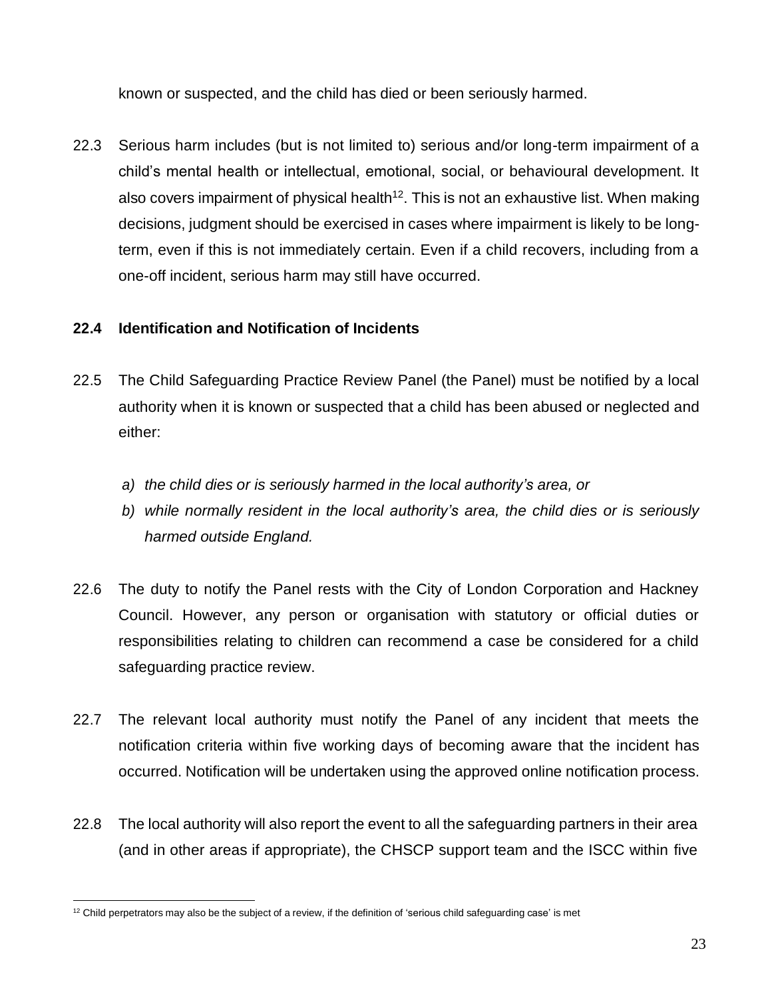known or suspected, and the child has died or been seriously harmed.

22.3 Serious harm includes (but is not limited to) serious and/or long-term impairment of a child's mental health or intellectual, emotional, social, or behavioural development. It also covers impairment of physical health<sup>12</sup>. This is not an exhaustive list. When making decisions, judgment should be exercised in cases where impairment is likely to be longterm, even if this is not immediately certain. Even if a child recovers, including from a one-off incident, serious harm may still have occurred.

### **22.4 Identification and Notification of Incidents**

- 22.5 The Child Safeguarding Practice Review Panel (the Panel) must be notified by a local authority when it is known or suspected that a child has been abused or neglected and either:
	- *a) the child dies or is seriously harmed in the local authority's area, or*
	- *b) while normally resident in the local authority's area, the child dies or is seriously harmed outside England.*
- 22.6 The duty to notify the Panel rests with the City of London Corporation and Hackney Council. However, any person or organisation with statutory or official duties or responsibilities relating to children can recommend a case be considered for a child safeguarding practice review.
- 22.7 The relevant local authority must notify the Panel of any incident that meets the notification criteria within five working days of becoming aware that the incident has occurred. Notification will be undertaken using the approved online notification process.
- 22.8 The local authority will also report the event to all the safeguarding partners in their area (and in other areas if appropriate), the CHSCP support team and the ISCC within five

 $12$  Child perpetrators may also be the subject of a review, if the definition of 'serious child safeguarding case' is met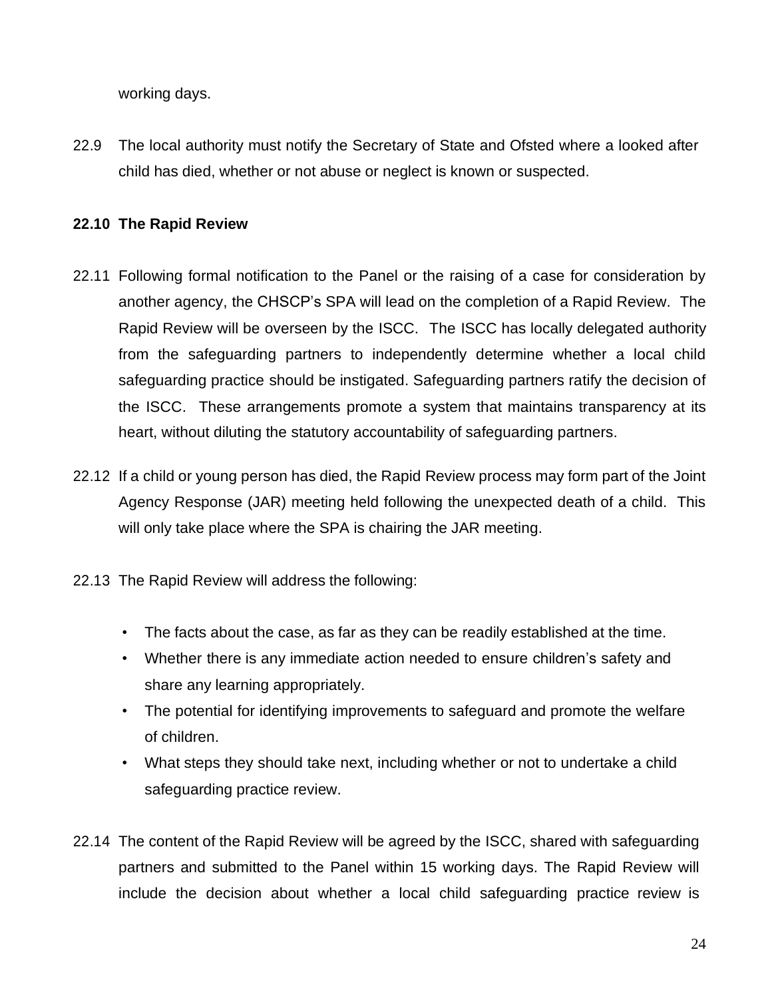working days.

22.9 The local authority must notify the Secretary of State and Ofsted where a looked after child has died, whether or not abuse or neglect is known or suspected.

### **22.10 The Rapid Review**

- 22.11 Following formal notification to the Panel or the raising of a case for consideration by another agency, the CHSCP's SPA will lead on the completion of a Rapid Review. The Rapid Review will be overseen by the ISCC. The ISCC has locally delegated authority from the safeguarding partners to independently determine whether a local child safeguarding practice should be instigated. Safeguarding partners ratify the decision of the ISCC. These arrangements promote a system that maintains transparency at its heart, without diluting the statutory accountability of safeguarding partners.
- 22.12 If a child or young person has died, the Rapid Review process may form part of the Joint Agency Response (JAR) meeting held following the unexpected death of a child. This will only take place where the SPA is chairing the JAR meeting.
- 22.13 The Rapid Review will address the following:
	- The facts about the case, as far as they can be readily established at the time.
	- Whether there is any immediate action needed to ensure children's safety and share any learning appropriately.
	- The potential for identifying improvements to safeguard and promote the welfare of children.
	- What steps they should take next, including whether or not to undertake a child safeguarding practice review.
- 22.14 The content of the Rapid Review will be agreed by the ISCC, shared with safeguarding partners and submitted to the Panel within 15 working days. The Rapid Review will include the decision about whether a local child safeguarding practice review is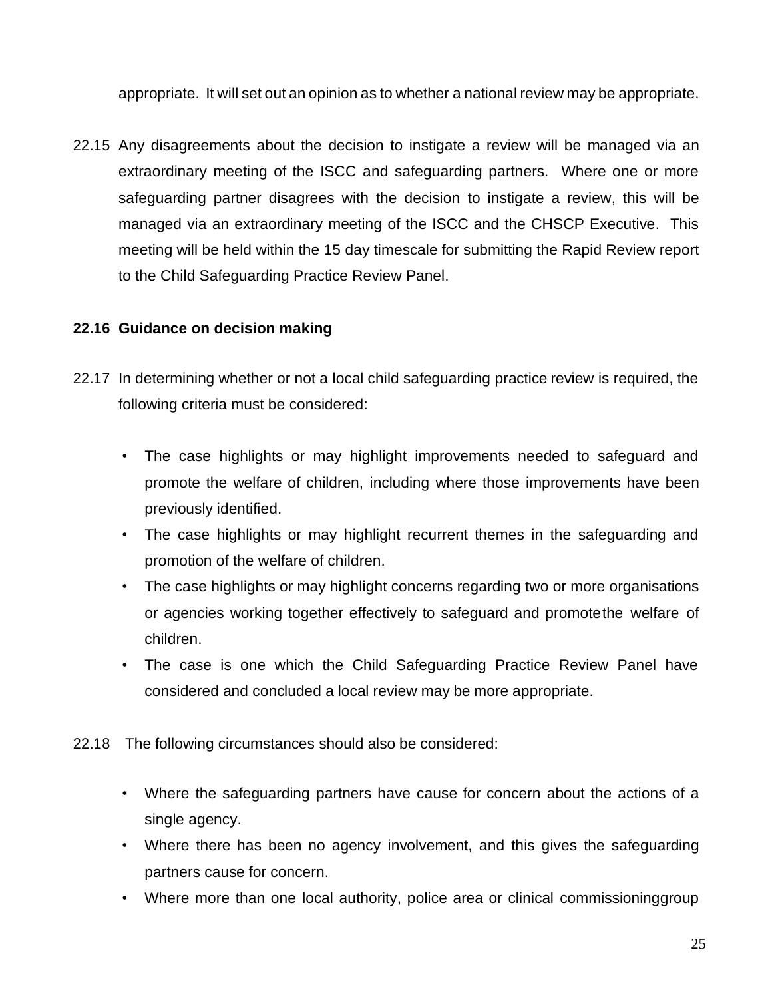appropriate. It will set out an opinion as to whether a national review may be appropriate.

22.15 Any disagreements about the decision to instigate a review will be managed via an extraordinary meeting of the ISCC and safeguarding partners. Where one or more safeguarding partner disagrees with the decision to instigate a review, this will be managed via an extraordinary meeting of the ISCC and the CHSCP Executive. This meeting will be held within the 15 day timescale for submitting the Rapid Review report to the Child Safeguarding Practice Review Panel.

#### **22.16 Guidance on decision making**

- 22.17 In determining whether or not a local child safeguarding practice review is required, the following criteria must be considered:
	- The case highlights or may highlight improvements needed to safeguard and promote the welfare of children, including where those improvements have been previously identified.
	- The case highlights or may highlight recurrent themes in the safeguarding and promotion of the welfare of children.
	- The case highlights or may highlight concerns regarding two or more organisations or agencies working together effectively to safeguard and promotethe welfare of children.
	- The case is one which the Child Safeguarding Practice Review Panel have considered and concluded a local review may be more appropriate.
- 22.18 The following circumstances should also be considered:
	- Where the safeguarding partners have cause for concern about the actions of a single agency.
	- Where there has been no agency involvement, and this gives the safeguarding partners cause for concern.
	- Where more than one local authority, police area or clinical commissioninggroup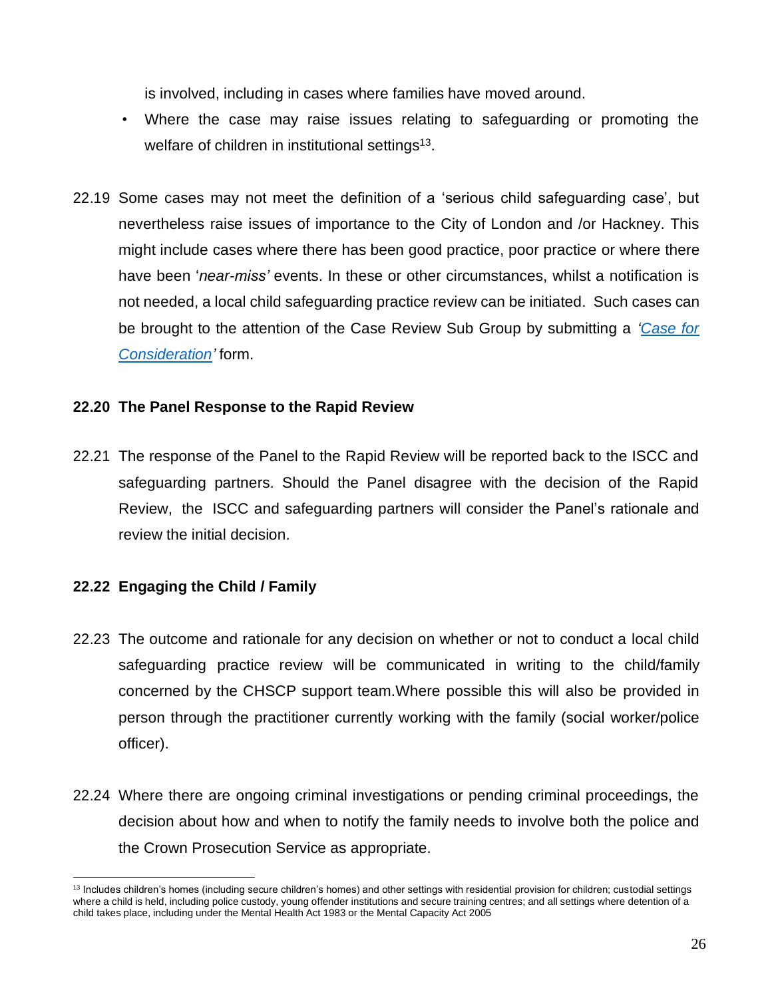is involved, including in cases where families have moved around.

- Where the case may raise issues relating to safeguarding or promoting the welfare of children in institutional settings<sup>13</sup>.
- 22.19 Some cases may not meet the definition of a 'serious child safeguarding case', but nevertheless raise issues of importance to the City of London and /or Hackney. This might include cases where there has been good practice, poor practice or where there have been '*near-miss'* events. In these or other circumstances, whilst a notification is not needed, a local child safeguarding practice review can be initiated. Such cases can be brought to the attention of the Case Review Sub Group by submitting a *['Case for](https://www.chscp.org.uk/case-reviews/)  [Consideration'](https://www.chscp.org.uk/case-reviews/)* form.

### **22.20 The Panel Response to the Rapid Review**

22.21 The response of the Panel to the Rapid Review will be reported back to the ISCC and safeguarding partners. Should the Panel disagree with the decision of the Rapid Review, the ISCC and safeguarding partners will consider the Panel's rationale and review the initial decision.

### **22.22 Engaging the Child / Family**

- 22.23 The outcome and rationale for any decision on whether or not to conduct a local child safeguarding practice review will be communicated in writing to the child/family concerned by the CHSCP support team.Where possible this will also be provided in person through the practitioner currently working with the family (social worker/police officer).
- 22.24 Where there are ongoing criminal investigations or pending criminal proceedings, the decision about how and when to notify the family needs to involve both the police and the Crown Prosecution Service as appropriate.

<sup>&</sup>lt;sup>13</sup> Includes children's homes (including secure children's homes) and other settings with residential provision for children; custodial settings where a child is held, including police custody, young offender institutions and secure training centres; and all settings where detention of a child takes place, including under the Mental Health Act 1983 or the Mental Capacity Act 2005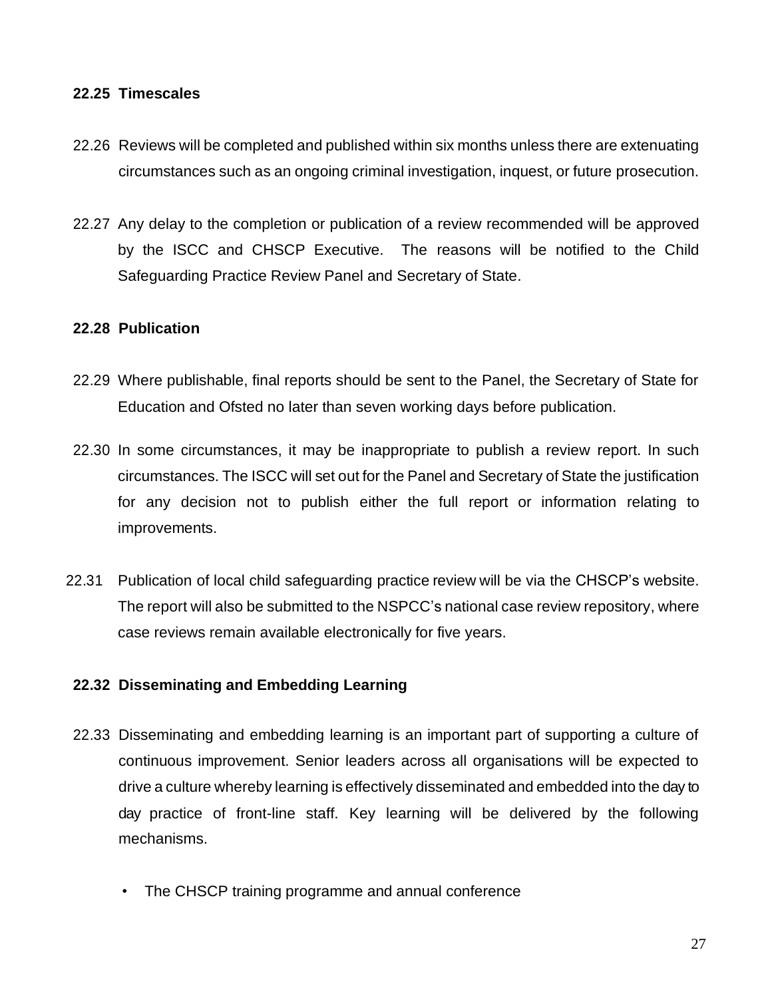#### **22.25 Timescales**

- 22.26 Reviews will be completed and published within six months unless there are extenuating circumstances such as an ongoing criminal investigation, inquest, or future prosecution.
- 22.27 Any delay to the completion or publication of a review recommended will be approved by the ISCC and CHSCP Executive. The reasons will be notified to the Child Safeguarding Practice Review Panel and Secretary of State.

#### **22.28 Publication**

- 22.29 Where publishable, final reports should be sent to the Panel, the Secretary of State for Education and Ofsted no later than seven working days before publication.
- 22.30 In some circumstances, it may be inappropriate to publish a review report. In such circumstances. The ISCC will set out for the Panel and Secretary of State the justification for any decision not to publish either the full report or information relating to improvements.
- 22.31 Publication of local child safeguarding practice review will be via the CHSCP's website. The report will also be submitted to the NSPCC's national case review repository, where case reviews remain available electronically for five years.

### **22.32 Disseminating and Embedding Learning**

- 22.33 Disseminating and embedding learning is an important part of supporting a culture of continuous improvement. Senior leaders across all organisations will be expected to drive a culture whereby learning is effectively disseminated and embedded into the day to day practice of front-line staff. Key learning will be delivered by the following mechanisms.
	- The CHSCP training programme and annual conference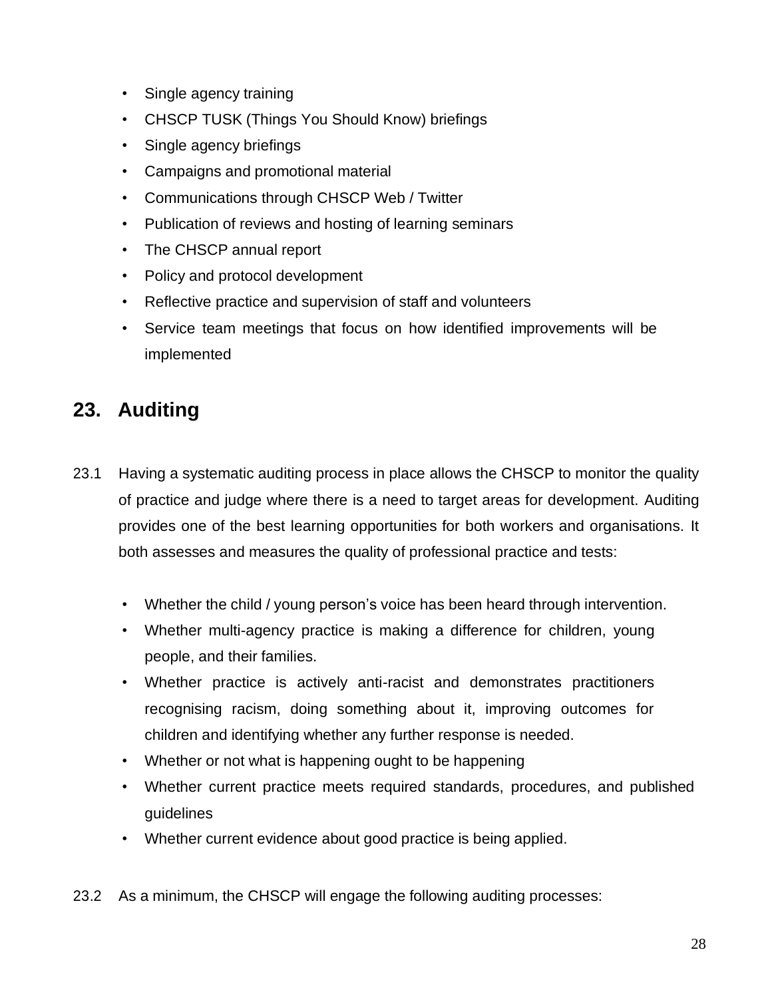- Single agency training
- CHSCP TUSK (Things You Should Know) briefings
- Single agency briefings
- Campaigns and promotional material
- Communications through CHSCP Web / Twitter
- Publication of reviews and hosting of learning seminars
- The CHSCP annual report
- Policy and protocol development
- Reflective practice and supervision of staff and volunteers
- Service team meetings that focus on how identified improvements will be implemented

# <span id="page-28-0"></span>**23. Auditing**

- 23.1 Having a systematic auditing process in place allows the CHSCP to monitor the quality of practice and judge where there is a need to target areas for development. Auditing provides one of the best learning opportunities for both workers and organisations. It both assesses and measures the quality of professional practice and tests:
	- Whether the child / young person's voice has been heard through intervention.
	- Whether multi-agency practice is making a difference for children, young people, and their families.
	- Whether practice is actively anti-racist and demonstrates practitioners recognising racism, doing something about it, improving outcomes for children and identifying whether any further response is needed.
	- Whether or not what is happening ought to be happening
	- Whether current practice meets required standards, procedures, and published guidelines
	- Whether current evidence about good practice is being applied.
- 23.2 As a minimum, the CHSCP will engage the following auditing processes: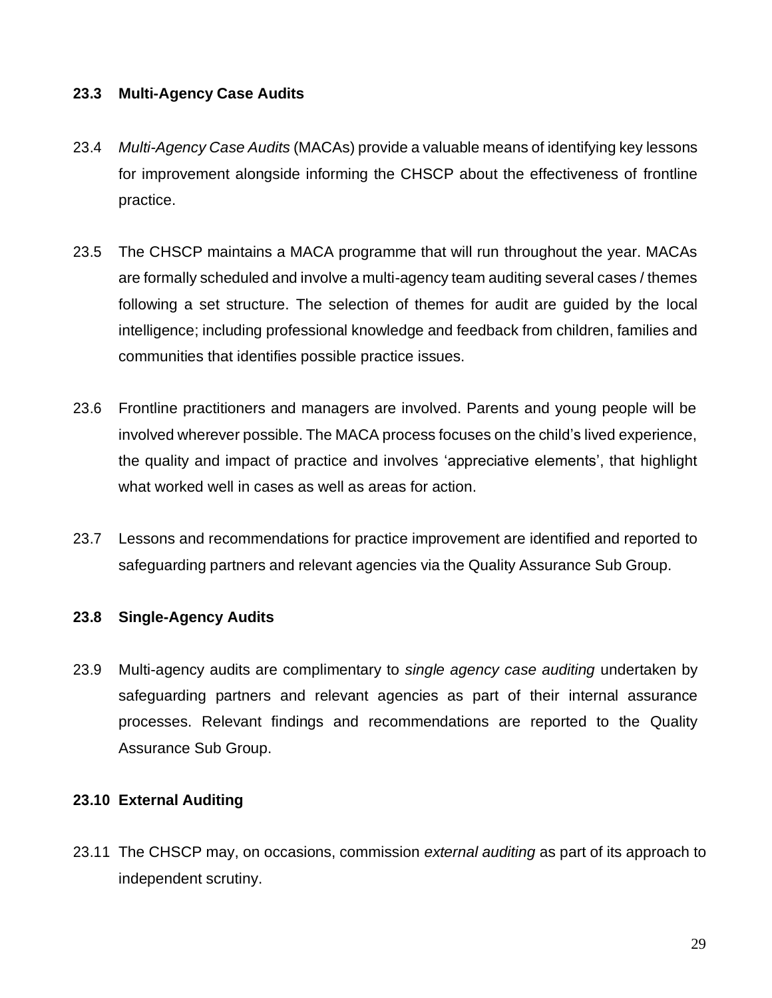#### **23.3 Multi-Agency Case Audits**

- 23.4 *Multi-Agency Case Audits* (MACAs) provide a valuable means of identifying key lessons for improvement alongside informing the CHSCP about the effectiveness of frontline practice.
- 23.5 The CHSCP maintains a MACA programme that will run throughout the year. MACAs are formally scheduled and involve a multi-agency team auditing several cases / themes following a set structure. The selection of themes for audit are guided by the local intelligence; including professional knowledge and feedback from children, families and communities that identifies possible practice issues.
- 23.6 Frontline practitioners and managers are involved. Parents and young people will be involved wherever possible. The MACA process focuses on the child's lived experience, the quality and impact of practice and involves 'appreciative elements', that highlight what worked well in cases as well as areas for action.
- 23.7 Lessons and recommendations for practice improvement are identified and reported to safeguarding partners and relevant agencies via the Quality Assurance Sub Group.

### **23.8 Single-Agency Audits**

23.9 Multi-agency audits are complimentary to *single agency case auditing* undertaken by safeguarding partners and relevant agencies as part of their internal assurance processes. Relevant findings and recommendations are reported to the Quality Assurance Sub Group.

#### **23.10 External Auditing**

23.11 The CHSCP may, on occasions, commission *external auditing* as part of its approach to independent scrutiny.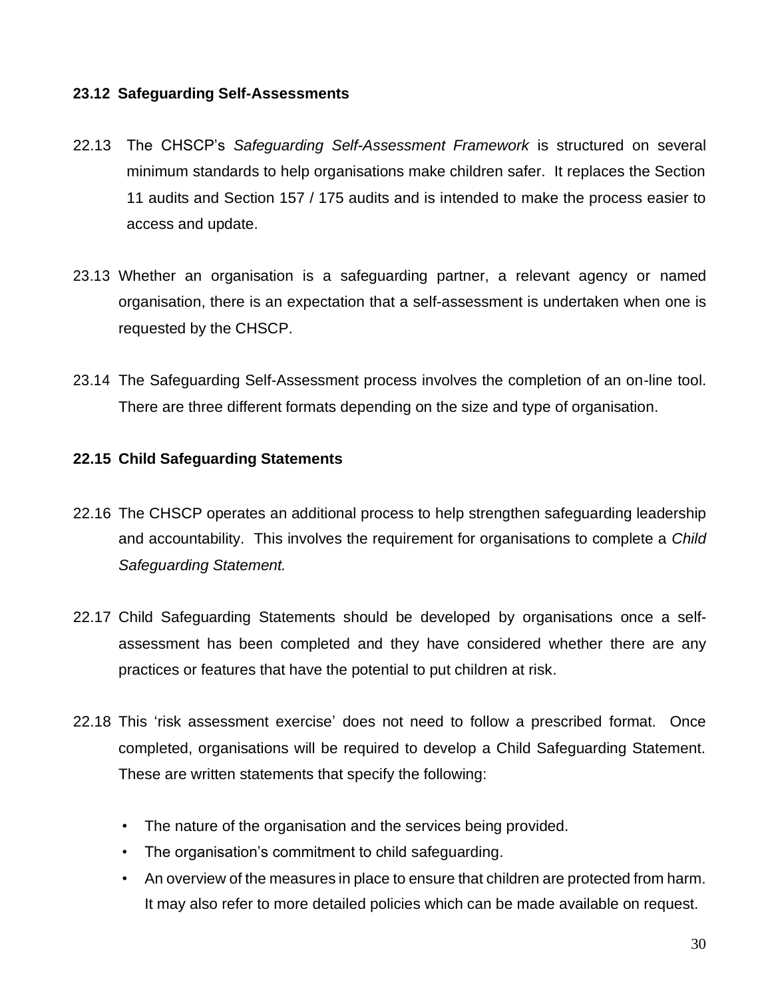#### **23.12 Safeguarding Self-Assessments**

- 22.13 The CHSCP's *Safeguarding Self-Assessment Framework* is structured on several minimum standards to help organisations make children safer. It replaces the Section 11 audits and Section 157 / 175 audits and is intended to make the process easier to access and update.
- 23.13 Whether an organisation is a safeguarding partner, a relevant agency or named organisation, there is an expectation that a self-assessment is undertaken when one is requested by the CHSCP.
- 23.14 The Safeguarding Self-Assessment process involves the completion of an on-line tool. There are three different formats depending on the size and type of organisation.

#### **22.15 Child Safeguarding Statements**

- 22.16 The CHSCP operates an additional process to help strengthen safeguarding leadership and accountability. This involves the requirement for organisations to complete a *Child Safeguarding Statement.*
- 22.17 Child Safeguarding Statements should be developed by organisations once a selfassessment has been completed and they have considered whether there are any practices or features that have the potential to put children at risk.
- 22.18 This 'risk assessment exercise' does not need to follow a prescribed format. Once completed, organisations will be required to develop a Child Safeguarding Statement. These are written statements that specify the following:
	- The nature of the organisation and the services being provided.
	- The organisation's commitment to child safeguarding.
	- An overview of the measures in place to ensure that children are protected from harm. It may also refer to more detailed policies which can be made available on request.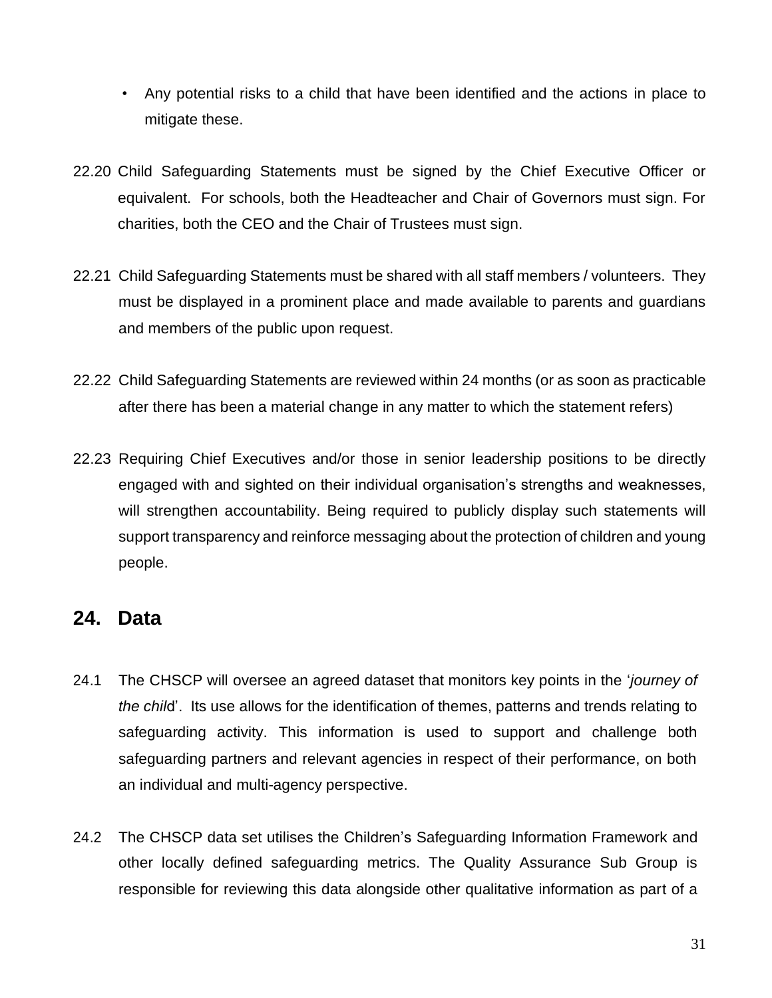- Any potential risks to a child that have been identified and the actions in place to mitigate these.
- 22.20 Child Safeguarding Statements must be signed by the Chief Executive Officer or equivalent. For schools, both the Headteacher and Chair of Governors must sign. For charities, both the CEO and the Chair of Trustees must sign.
- 22.21 Child Safeguarding Statements must be shared with all staff members / volunteers. They must be displayed in a prominent place and made available to parents and guardians and members of the public upon request.
- 22.22 Child Safeguarding Statements are reviewed within 24 months (or as soon as practicable after there has been a material change in any matter to which the statement refers)
- 22.23 Requiring Chief Executives and/or those in senior leadership positions to be directly engaged with and sighted on their individual organisation's strengths and weaknesses, will strengthen accountability. Being required to publicly display such statements will support transparency and reinforce messaging about the protection of children and young people.

### <span id="page-31-0"></span>**24. Data**

- 24.1 The CHSCP will oversee an agreed dataset that monitors key points in the '*journey of the chil*d'. Its use allows for the identification of themes, patterns and trends relating to safeguarding activity. This information is used to support and challenge both safeguarding partners and relevant agencies in respect of their performance, on both an individual and multi-agency perspective.
- 24.2 The CHSCP data set utilises the Children's Safeguarding Information Framework and other locally defined safeguarding metrics. The Quality Assurance Sub Group is responsible for reviewing this data alongside other qualitative information as part of a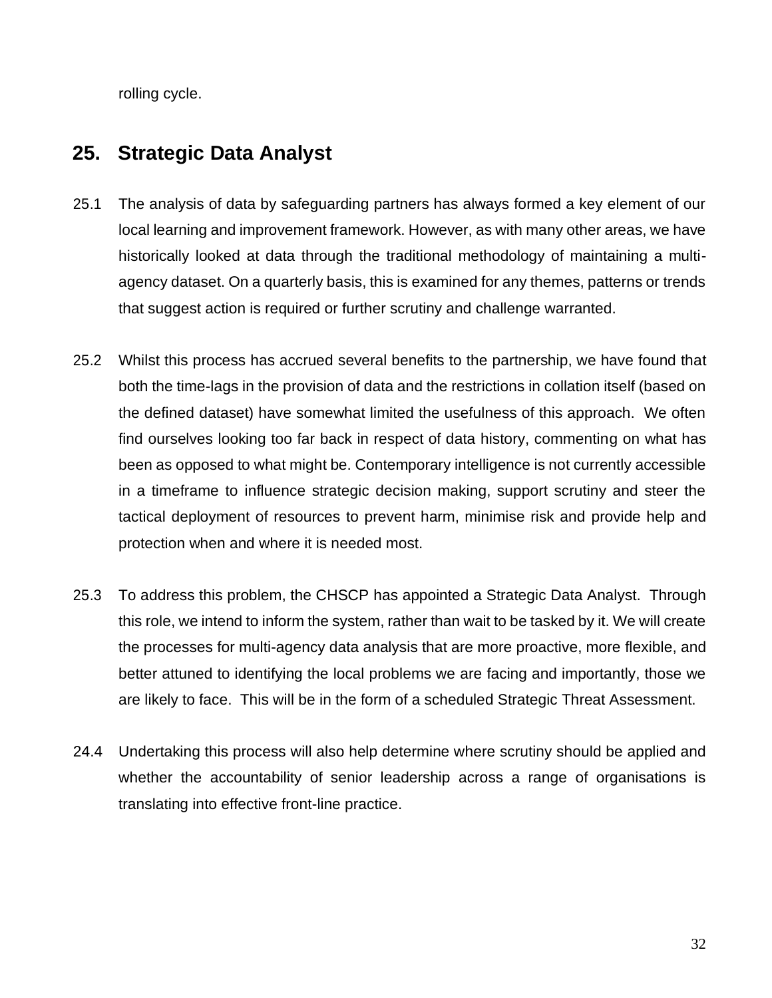rolling cycle.

# <span id="page-32-0"></span>**25. Strategic Data Analyst**

- 25.1 The analysis of data by safeguarding partners has always formed a key element of our local learning and improvement framework. However, as with many other areas, we have historically looked at data through the traditional methodology of maintaining a multiagency dataset. On a quarterly basis, this is examined for any themes, patterns or trends that suggest action is required or further scrutiny and challenge warranted.
- 25.2 Whilst this process has accrued several benefits to the partnership, we have found that both the time-lags in the provision of data and the restrictions in collation itself (based on the defined dataset) have somewhat limited the usefulness of this approach. We often find ourselves looking too far back in respect of data history, commenting on what has been as opposed to what might be. Contemporary intelligence is not currently accessible in a timeframe to influence strategic decision making, support scrutiny and steer the tactical deployment of resources to prevent harm, minimise risk and provide help and protection when and where it is needed most.
- 25.3 To address this problem, the CHSCP has appointed a Strategic Data Analyst. Through this role, we intend to inform the system, rather than wait to be tasked by it. We will create the processes for multi-agency data analysis that are more proactive, more flexible, and better attuned to identifying the local problems we are facing and importantly, those we are likely to face. This will be in the form of a scheduled Strategic Threat Assessment.
- 24.4 Undertaking this process will also help determine where scrutiny should be applied and whether the accountability of senior leadership across a range of organisations is translating into effective front-line practice.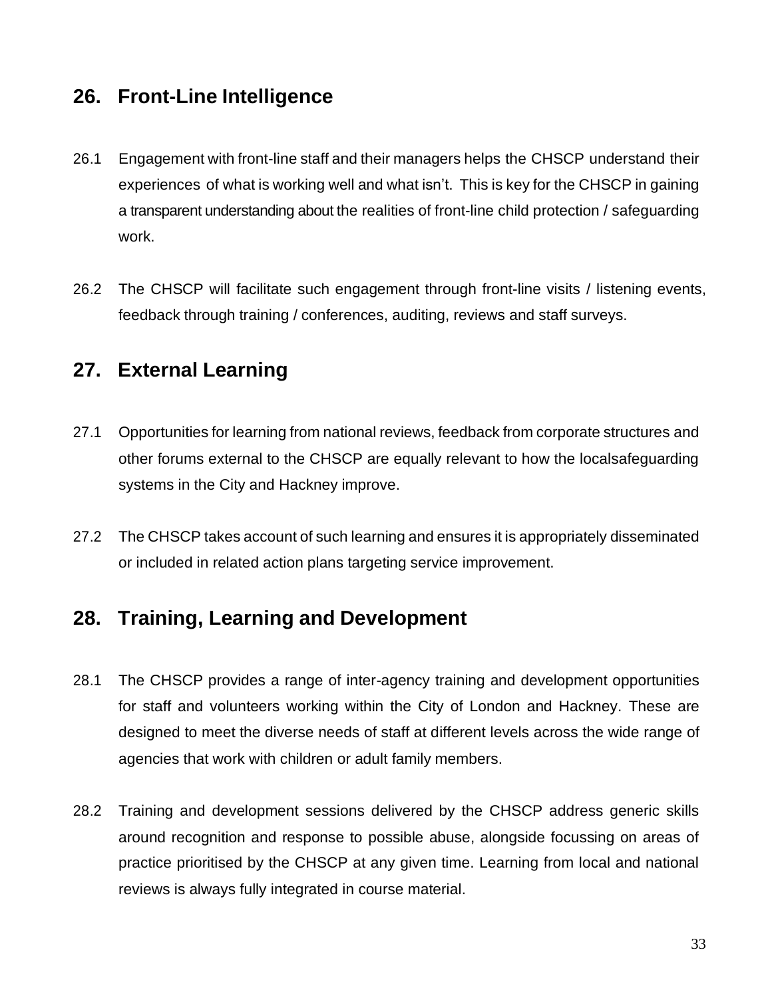### <span id="page-33-0"></span>**26. Front-Line Intelligence**

- 26.1 Engagement with front-line staff and their managers helps the CHSCP understand their experiences of what is working well and what isn't. This is key for the CHSCP in gaining a transparent understanding about the realities of front-line child protection / safeguarding work.
- 26.2 The CHSCP will facilitate such engagement through front-line visits / listening events, feedback through training / conferences, auditing, reviews and staff surveys.

### <span id="page-33-1"></span>**27. External Learning**

- 27.1 Opportunities for learning from national reviews, feedback from corporate structures and other forums external to the CHSCP are equally relevant to how the localsafeguarding systems in the City and Hackney improve.
- 27.2 The CHSCP takes account of such learning and ensures it is appropriately disseminated or included in related action plans targeting service improvement.

### <span id="page-33-2"></span>**28. Training, Learning and Development**

- 28.1 The CHSCP provides a range of inter-agency training and development opportunities for staff and volunteers working within the City of London and Hackney. These are designed to meet the diverse needs of staff at different levels across the wide range of agencies that work with children or adult family members.
- 28.2 Training and development sessions delivered by the CHSCP address generic skills around recognition and response to possible abuse, alongside focussing on areas of practice prioritised by the CHSCP at any given time. Learning from local and national reviews is always fully integrated in course material.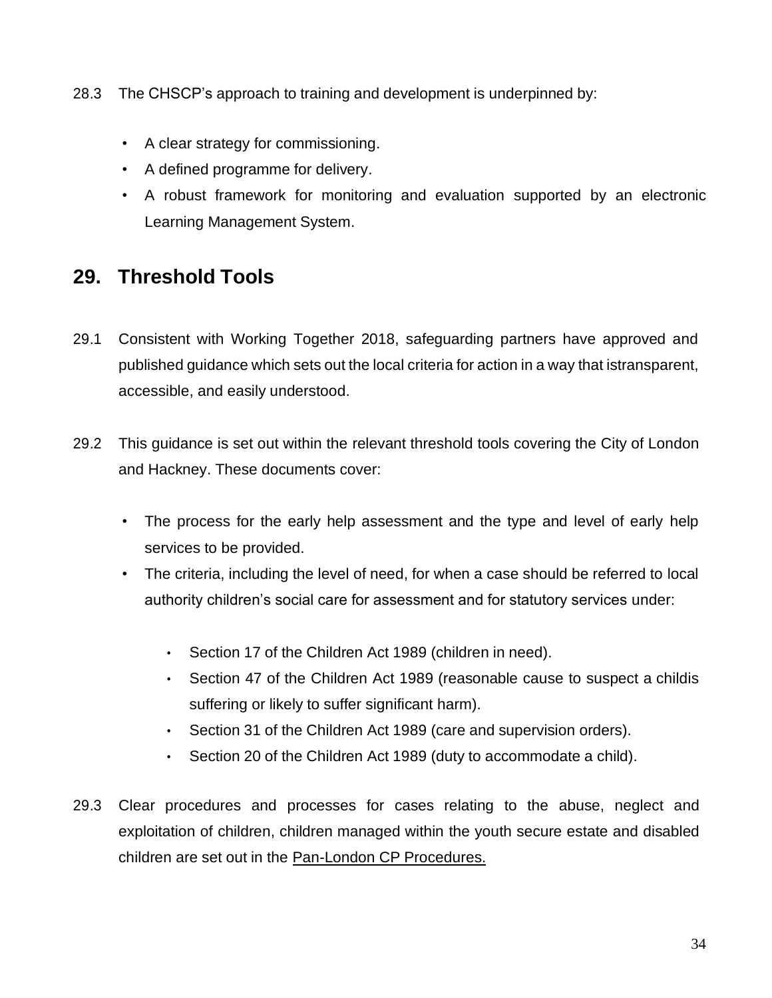- 28.3 The CHSCP's approach to training and development is underpinned by:
	- A clear strategy for commissioning.
	- A defined programme for delivery.
	- A robust framework for monitoring and evaluation supported by an electronic Learning Management System.

### <span id="page-34-0"></span>**29. Threshold Tools**

- 29.1 Consistent with Working Together 2018, safeguarding partners have approved and published guidance which sets out the local criteria for action in a way that istransparent, accessible, and easily understood.
- 29.2 This guidance is set out within the relevant threshold tools covering the City of London and Hackney. These documents cover:
	- The process for the early help assessment and the type and level of early help services to be provided.
	- The criteria, including the level of need, for when a case should be referred to local authority children's social care for assessment and for statutory services under:
		- Section 17 of the Children Act 1989 (children in need).
		- Section 47 of the Children Act 1989 (reasonable cause to suspect a childis suffering or likely to suffer significant harm).
		- Section 31 of the Children Act 1989 (care and supervision orders).
		- Section 20 of the Children Act 1989 (duty to accommodate a child).
- 29.3 Clear procedures and processes for cases relating to the abuse, neglect and exploitation of children, children managed within the youth secure estate and disabled children are set out in the [Pan-London CP](http://www.londoncp.co.uk/chapters/responding_concerns.html) Procedures.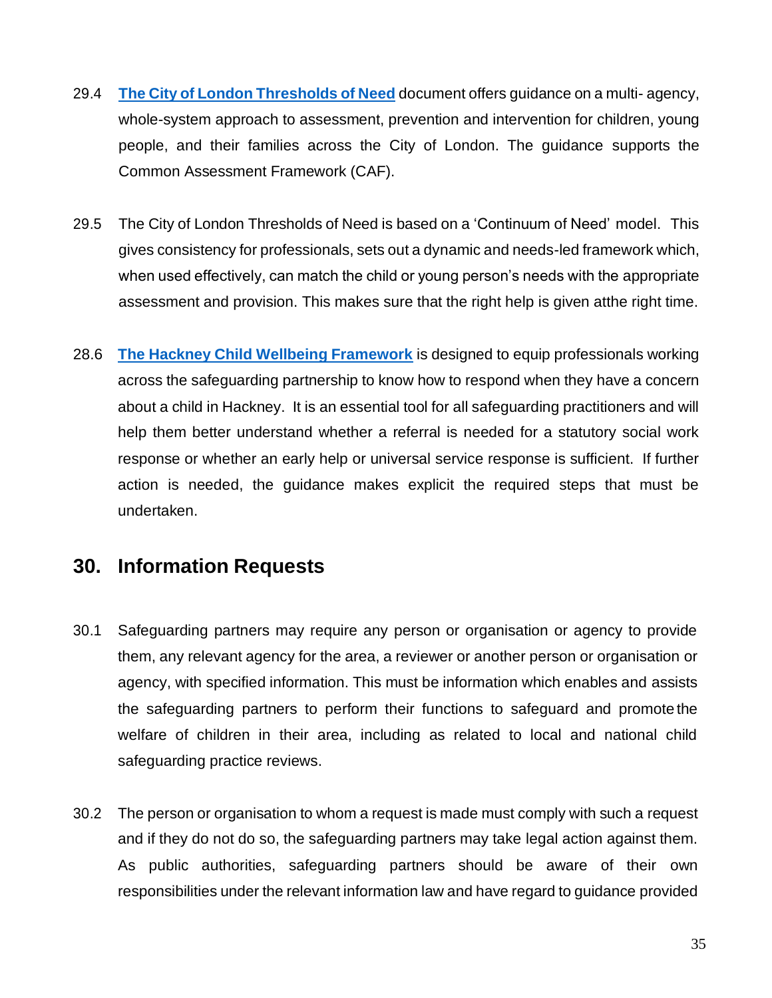- 29.4 **[The City of London Thresholds of Need](https://chscp.org.uk/worried-about-a-child-in-the-city/)** document offers guidance on a multi- agency, whole-system approach to assessment, prevention and intervention for children, young people, and their families across the City of London. The guidance supports the Common Assessment Framework (CAF).
- 29.5 The City of London Thresholds of Need is based on a 'Continuum of Need' model. This gives consistency for professionals, sets out a dynamic and needs-led framework which, when used effectively, can match the child or young person's needs with the appropriate assessment and provision. This makes sure that the right help is given atthe right time.
- 28.6 **[The Hackney Child Wellbeing Framework](https://chscp.org.uk/worried-about-a-child-in-hackney/)** is designed to equip professionals working across the safeguarding partnership to know how to respond when they have a concern about a child in Hackney. It is an essential tool for all safeguarding practitioners and will help them better understand whether a referral is needed for a statutory social work response or whether an early help or universal service response is sufficient. If further action is needed, the guidance makes explicit the required steps that must be undertaken.

### <span id="page-35-0"></span>**30. Information Requests**

- 30.1 Safeguarding partners may require any person or organisation or agency to provide them, any relevant agency for the area, a reviewer or another person or organisation or agency, with specified information. This must be information which enables and assists the safeguarding partners to perform their functions to safeguard and promote the welfare of children in their area, including as related to local and national child safeguarding practice reviews.
- 30.2 The person or organisation to whom a request is made must comply with such a request and if they do not do so, the safeguarding partners may take legal action against them. As public authorities, safeguarding partners should be aware of their own responsibilities under the relevant information law and have regard to guidance provided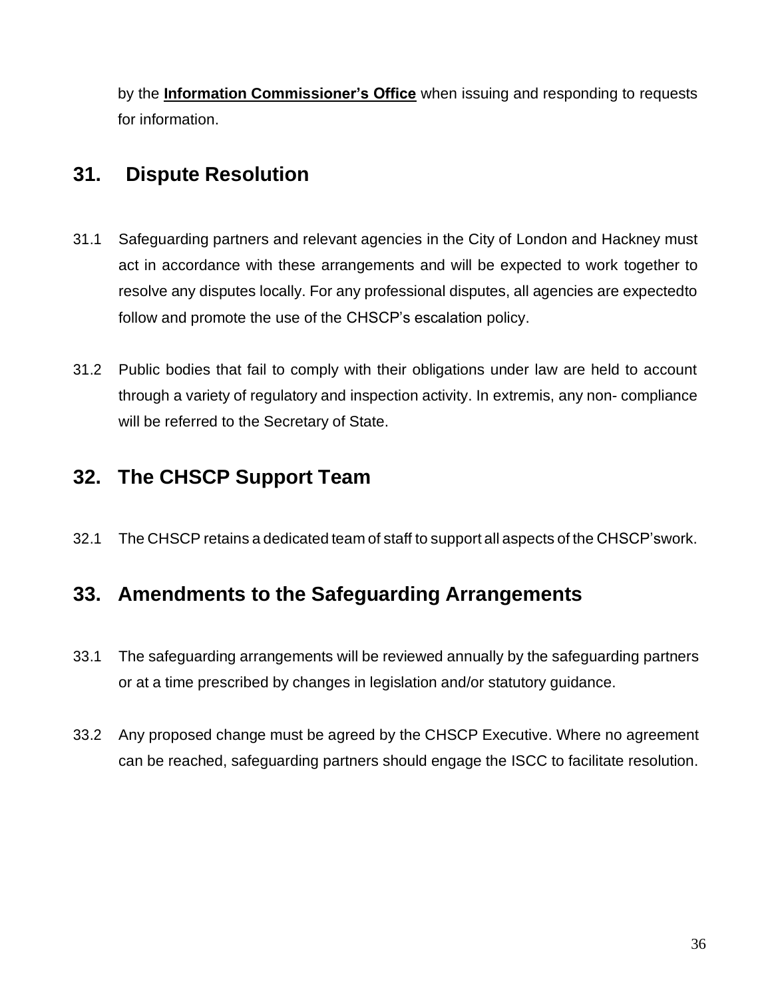by the **[Information Commissioner's Office](https://ico.org.uk/)** when issuing and responding to requests for information.

# <span id="page-36-0"></span>**31. Dispute Resolution**

- 31.1 Safeguarding partners and relevant agencies in the City of London and Hackney must act in accordance with these arrangements and will be expected to work together to resolve any disputes locally. For any professional disputes, all agencies are expectedto follow and promote the use of the CHSCP's escalation policy.
- 31.2 Public bodies that fail to comply with their obligations under law are held to account through a variety of regulatory and inspection activity. In extremis, any non- compliance will be referred to the Secretary of State.

### <span id="page-36-1"></span>**32. The CHSCP Support Team**

32.1 The CHSCP retains a dedicated team of staff to support all aspects of the CHSCP'swork.

### <span id="page-36-2"></span>**33. Amendments to the Safeguarding Arrangements**

- 33.1 The safeguarding arrangements will be reviewed annually by the safeguarding partners or at a time prescribed by changes in legislation and/or statutory guidance.
- 33.2 Any proposed change must be agreed by the CHSCP Executive. Where no agreement can be reached, safeguarding partners should engage the ISCC to facilitate resolution.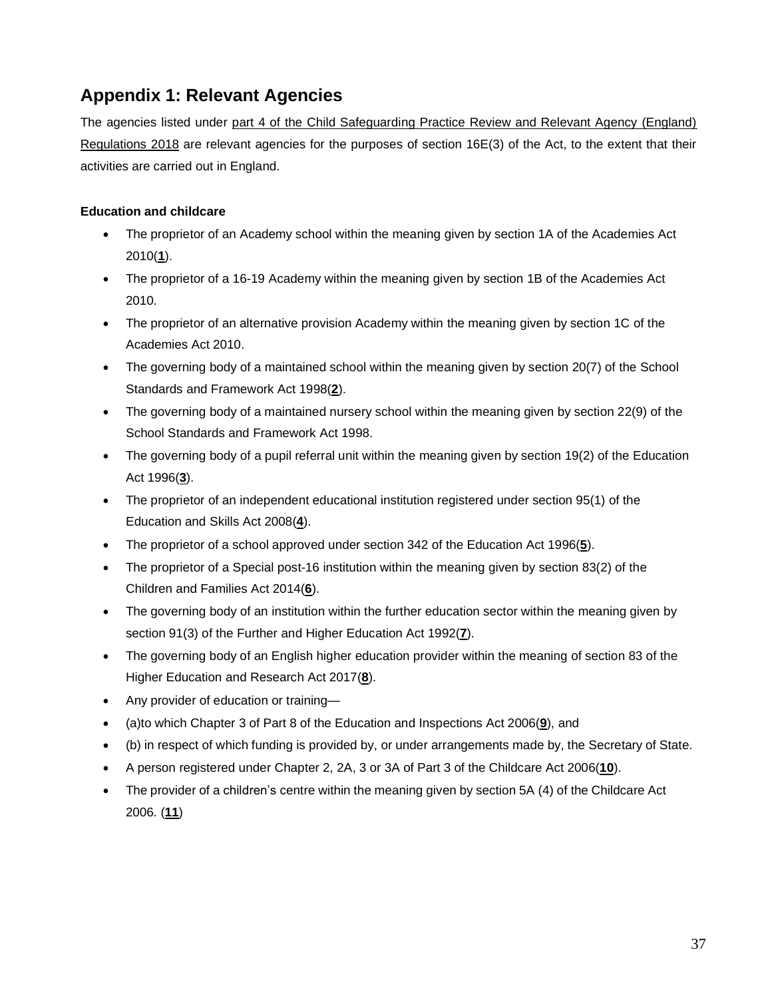### <span id="page-37-0"></span>**Appendix 1: Relevant Agencies**

The agencies listed under [part 4 of the Child Safeguarding Practice Review and Relevant Agency \(England\)](http://www.legislation.gov.uk/uksi/2018/789/contents/made) [Regulations 2018](http://www.legislation.gov.uk/uksi/2018/789/contents/made) are relevant agencies for the purposes of section 16E(3) of the Act, to the extent that their activities are carried out in England.

#### **Education and childcare**

- The proprietor of an Academy school within the meaning given by section 1A of the Academies Act 2010(**[1](http://www.legislation.gov.uk/uksi/2018/789/schedule/made#f00005)**).
- The proprietor of a 16-19 Academy within the meaning given by section 1B of the Academies Act 2010.
- The proprietor of an alternative provision Academy within the meaning given by section 1C of the Academies Act 2010.
- The governing body of a maintained school within the meaning given by section 20(7) of the School Standards and Framework Act 1998(**[2](http://www.legislation.gov.uk/uksi/2018/789/schedule/made#f00006)**).
- The governing body of a maintained nursery school within the meaning given by section 22(9) of the School Standards and Framework Act 1998.
- The governing body of a pupil referral unit within the meaning given by section 19(2) of the Education Act 1996(**[3](http://www.legislation.gov.uk/uksi/2018/789/schedule/made#f00007)**).
- The proprietor of an independent educational institution registered under section 95(1) of the Education and Skills Act 2008(**[4](http://www.legislation.gov.uk/uksi/2018/789/schedule/made#f00008)**).
- The proprietor of a school approved under section 342 of the Education Act 1996(**[5](http://www.legislation.gov.uk/uksi/2018/789/schedule/made#f00009)**).
- The proprietor of a Special post-16 institution within the meaning given by section 83(2) of the Children and Families Act 2014(**[6](http://www.legislation.gov.uk/uksi/2018/789/schedule/made#f00010)**).
- The governing body of an institution within the further education sector within the meaning given by section 91(3) of the Further and Higher Education Act 1992(**[7](http://www.legislation.gov.uk/uksi/2018/789/schedule/made#f00011)**).
- The governing body of an English higher education provider within the meaning of section 83 of the Higher Education and Research Act 2017(**[8](http://www.legislation.gov.uk/uksi/2018/789/schedule/made#f00012)**).
- Any provider of education or training—
- (a)to which Chapter 3 of Part 8 of the Education and Inspections Act 2006(**[9](http://www.legislation.gov.uk/uksi/2018/789/schedule/made#f00013)**), and
- (b) in respect of which funding is provided by, or under arrangements made by, the Secretary of State.
- A person registered under Chapter 2, 2A, 3 or 3A of Part 3 of the Childcare Act 2006(**[10](http://www.legislation.gov.uk/uksi/2018/789/schedule/made#f00014)**).
- The provider of a children's centre within the meaning given by section 5A (4) of the Childcare Act 2006. (**[11](http://www.legislation.gov.uk/uksi/2018/789/schedule/made#f00015)**)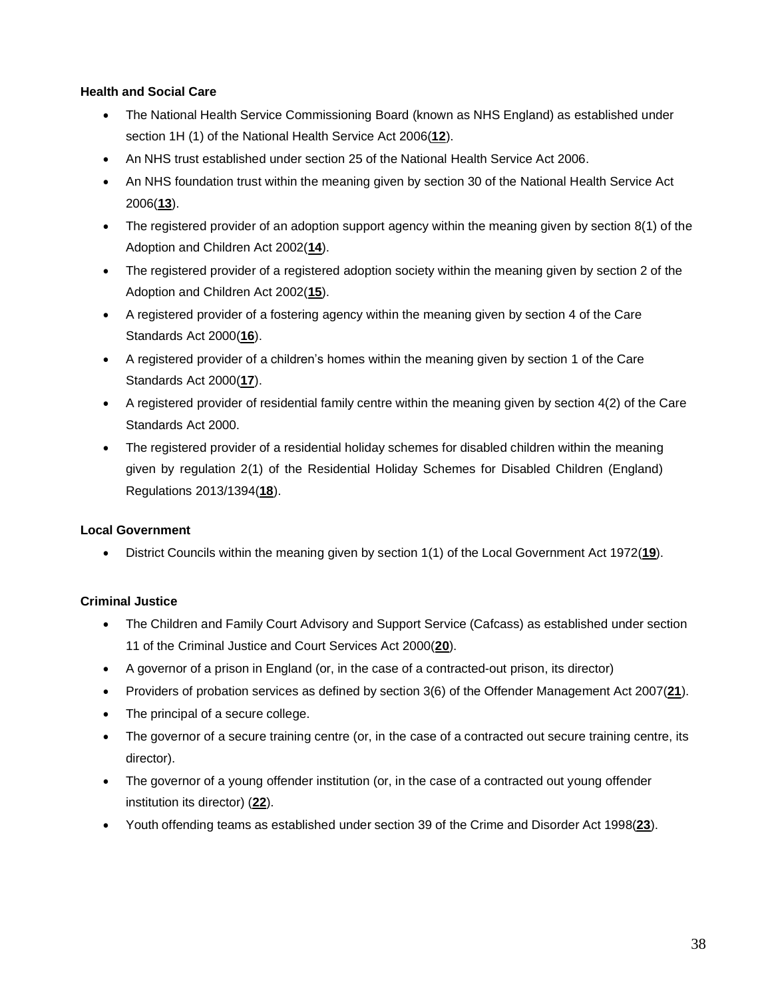#### **Health and Social Care**

- The National Health Service Commissioning Board (known as NHS England) as established under section 1H (1) of the National Health Service Act 2006(**[12](http://www.legislation.gov.uk/uksi/2018/789/schedule/made#f00016)**).
- An NHS trust established under section 25 of the National Health Service Act 2006.
- An NHS foundation trust within the meaning given by section 30 of the National Health Service Act 2006(**[13](http://www.legislation.gov.uk/uksi/2018/789/schedule/made#f00017)**).
- The registered provider of an adoption support agency within the meaning given by section 8(1) of the Adoption and Children Act 2002(**[14](http://www.legislation.gov.uk/uksi/2018/789/schedule/made#f00018)**).
- The registered provider of a registered adoption society within the meaning given by section 2 of the Adoption and Children Act 2002(**[15](http://www.legislation.gov.uk/uksi/2018/789/schedule/made#f00019)**).
- A registered provider of a fostering agency within the meaning given by section 4 of the Care Standards Act 2000(**[16](http://www.legislation.gov.uk/uksi/2018/789/schedule/made#f00020)**).
- A registered provider of a children's homes within the meaning given by section 1 of the Care Standards Act 2000(**[17](http://www.legislation.gov.uk/uksi/2018/789/schedule/made#f00021)**).
- A registered provider of residential family centre within the meaning given by section 4(2) of the Care Standards Act 2000.
- The registered provider of a residential holiday schemes for disabled children within the meaning given by regulation 2(1) of the Residential Holiday Schemes for Disabled Children (England) Regulations 2013/1394(**[18](http://www.legislation.gov.uk/uksi/2018/789/schedule/made#f00022)**).

#### **Local Government**

• District Councils within the meaning given by section 1(1) of the Local Government Act 1972(**[19](http://www.legislation.gov.uk/uksi/2018/789/schedule/made#f00023)**).

#### **Criminal Justice**

- The Children and Family Court Advisory and Support Service (Cafcass) as established under section 11 of the Criminal Justice and Court Services Act 2000(**[20](http://www.legislation.gov.uk/uksi/2018/789/schedule/made#f00024)**).
- A governor of a prison in England (or, in the case of a contracted-out prison, its director)
- Providers of probation services as defined by section 3(6) of the Offender Management Act 2007(**[21](http://www.legislation.gov.uk/uksi/2018/789/schedule/made#f00025)**).
- The principal of a secure college.
- The governor of a secure training centre (or, in the case of a contracted out secure training centre, its director).
- The governor of a young offender institution (or, in the case of a contracted out young offender institution its director) (**[22](http://www.legislation.gov.uk/uksi/2018/789/schedule/made#f00026)**).
- Youth offending teams as established under section 39 of the Crime and Disorder Act 1998(**[23](http://www.legislation.gov.uk/uksi/2018/789/schedule/made#f00027)**).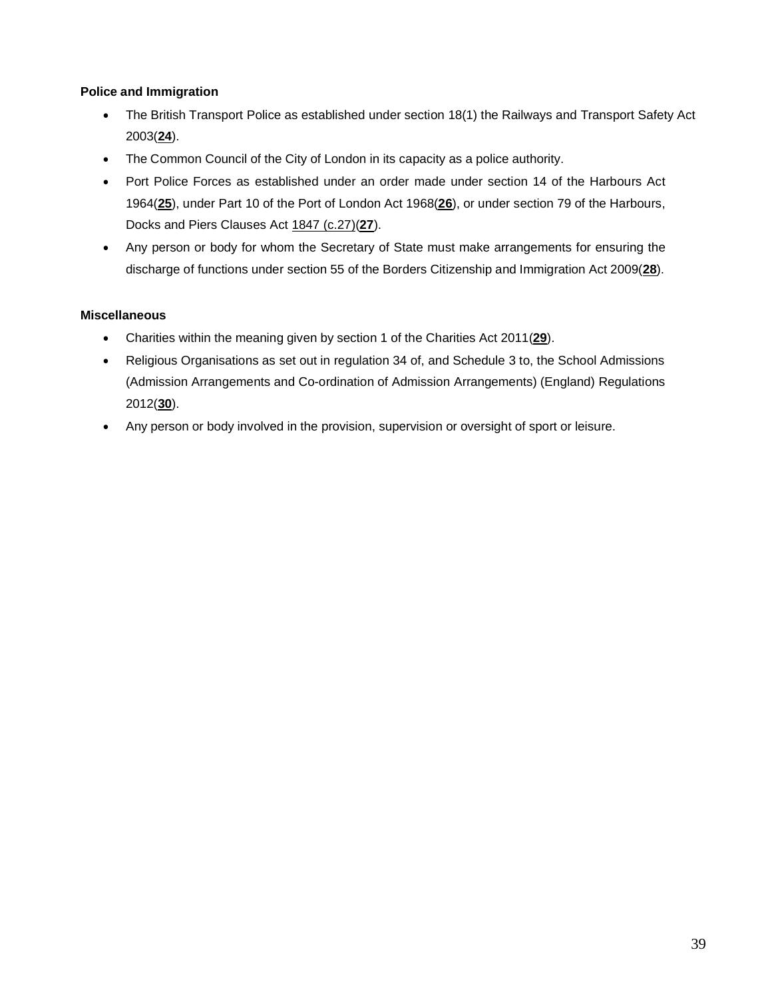#### **Police and Immigration**

- The British Transport Police as established under section 18(1) the Railways and Transport Safety Act 2003(**[24](http://www.legislation.gov.uk/uksi/2018/789/schedule/made#f00028)**).
- The Common Council of the City of London in its capacity as a police authority.
- Port Police Forces as established under an order made under section 14 of the Harbours Act 1964(**[25](http://www.legislation.gov.uk/uksi/2018/789/schedule/made#f00029)**), under Part 10 of the Port of London Act 1968(**[26](http://www.legislation.gov.uk/uksi/2018/789/schedule/made#f00030)**), or under section 79 of the Harbours, Docks and Piers Clauses Act [1847 \(c.27\)\(](http://www.legislation.gov.uk/id/ukpga/1847/27)**[27](http://www.legislation.gov.uk/uksi/2018/789/schedule/made#f00031)**).
- Any person or body for whom the Secretary of State must make arrangements for ensuring the discharge of functions under section 55 of the Borders Citizenship and Immigration Act 2009(**[28](http://www.legislation.gov.uk/uksi/2018/789/schedule/made#f00032)**).

#### **Miscellaneous**

- Charities within the meaning given by section 1 of the Charities Act 2011(**[29](http://www.legislation.gov.uk/uksi/2018/789/schedule/made#f00033)**).
- Religious Organisations as set out in regulation 34 of, and Schedule 3 to, the School Admissions (Admission Arrangements and Co-ordination of Admission Arrangements) (England) Regulations 2012(**[30](http://www.legislation.gov.uk/uksi/2018/789/schedule/made#f00034)**).
- Any person or body involved in the provision, supervision or oversight of sport or leisure.